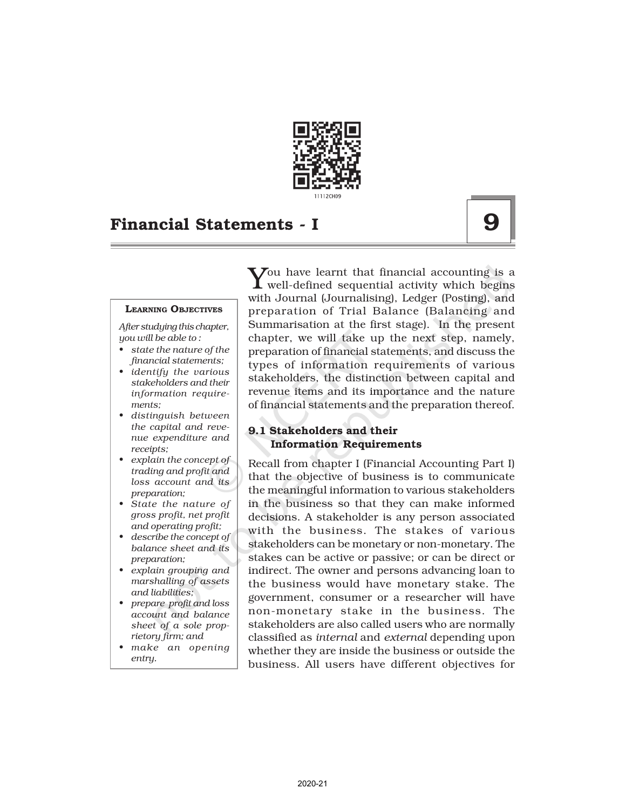

### LEARNING OBJECTIVES

*After studying this chapter, you will be able to :*

- *• state the nature of the financial statements;*
- *• identify the various stakeholders and their information requirements;*
- *• distinguish between the capital and revenue expenditure and receipts;*
- *• explain the concept of trading and profit and loss account and its preparation;*
- *• State the nature of gross profit, net profit and operating profit;*
- *• describe the concept of balance sheet and its preparation;*
- *• explain grouping and marshalling of assets and liabilities;*
- *• prepare profit and loss account and balance sheet of a sole proprietory firm; and*
- *• make an opening entry.*

You have learnt that financial accounting is a<br>well-defined sequential activity which begins well-defined sequential activity which begins with Journal (Journalising), Ledger (Posting), and preparation of Trial Balance (Balancing and Summarisation at the first stage). In the present chapter, we will take up the next step, namely, preparation of financial statements, and discuss the types of information requirements of various stakeholders, the distinction between capital and revenue items and its importance and the nature of financial statements and the preparation thereof.

# 9.1 Stakeholders and their Information Requirements

Recall from chapter I (Financial Accounting Part I) that the objective of business is to communicate the meaningful information to various stakeholders in the business so that they can make informed decisions. A stakeholder is any person associated with the business. The stakes of various stakeholders can be monetary or non-monetary. The stakes can be active or passive; or can be direct or indirect. The owner and persons advancing loan to the business would have monetary stake. The government, consumer or a researcher will have non-monetary stake in the business. The stakeholders are also called users who are normally classified as *internal* and *external* depending upon whether they are inside the business or outside the business. All users have different objectives for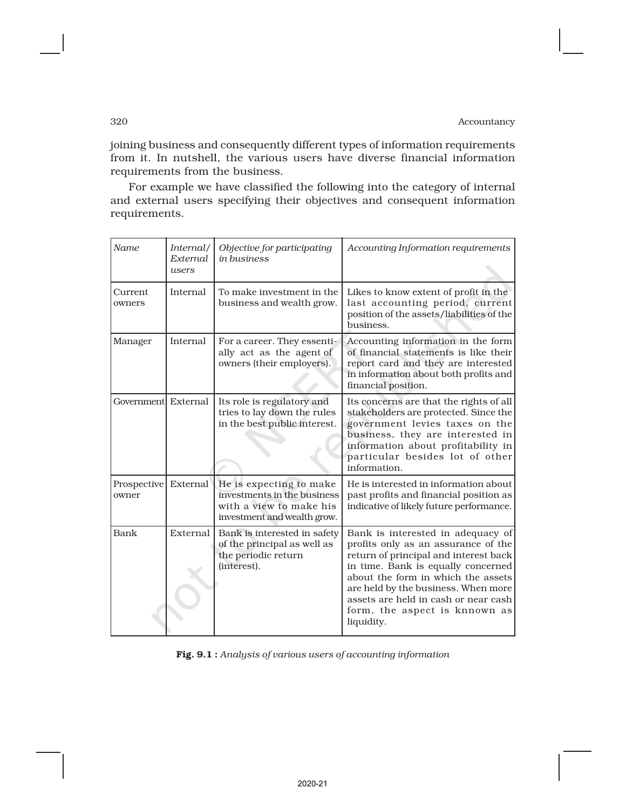joining business and consequently different types of information requirements from it. In nutshell, the various users have diverse financial information requirements from the business.

For example we have classified the following into the category of internal and external users specifying their objectives and consequent information requirements.

| Name                 | Internal/<br>External<br>users | Objective for participating<br>in business                                                                       | Accounting Information requirements                                                                                                                                                                                                                                                                                         |
|----------------------|--------------------------------|------------------------------------------------------------------------------------------------------------------|-----------------------------------------------------------------------------------------------------------------------------------------------------------------------------------------------------------------------------------------------------------------------------------------------------------------------------|
| Current<br>owners    | Internal                       | To make investment in the<br>business and wealth grow.                                                           | Likes to know extent of profit in the<br>last accounting period, current<br>position of the assets/liabilities of the<br>business.                                                                                                                                                                                          |
| Manager              | Internal                       | For a career. They essenti-<br>ally act as the agent of<br>owners (their employers).                             | Accounting information in the form<br>of financial statements is like their<br>report card and they are interested<br>in information about both profits and<br>financial position.                                                                                                                                          |
| Government External  |                                | Its role is regulatory and<br>tries to lay down the rules<br>in the best public interest.                        | Its concerns are that the rights of all<br>stakeholders are protected. Since the<br>government levies taxes on the<br>business, they are interested in<br>information about profitability in<br>particular besides lot of other<br>information.                                                                             |
| Prospective<br>owner | External                       | He is expecting to make<br>investments in the business<br>with a view to make his<br>investment and wealth grow. | He is interested in information about<br>past profits and financial position as<br>indicative of likely future performance.                                                                                                                                                                                                 |
| Bank                 | External                       | Bank is interested in safety<br>of the principal as well as<br>the periodic return<br>(interest).                | Bank is interested in adequacy of<br>profits only as an assurance of the<br>return of principal and interest back<br>in time. Bank is equally concerned<br>about the form in which the assets<br>are held by the business. When more<br>assets are held in cash or near cash<br>form, the aspect is knnown as<br>liquidity. |

Fig. 9.1 : *Analysis of various users of accounting information*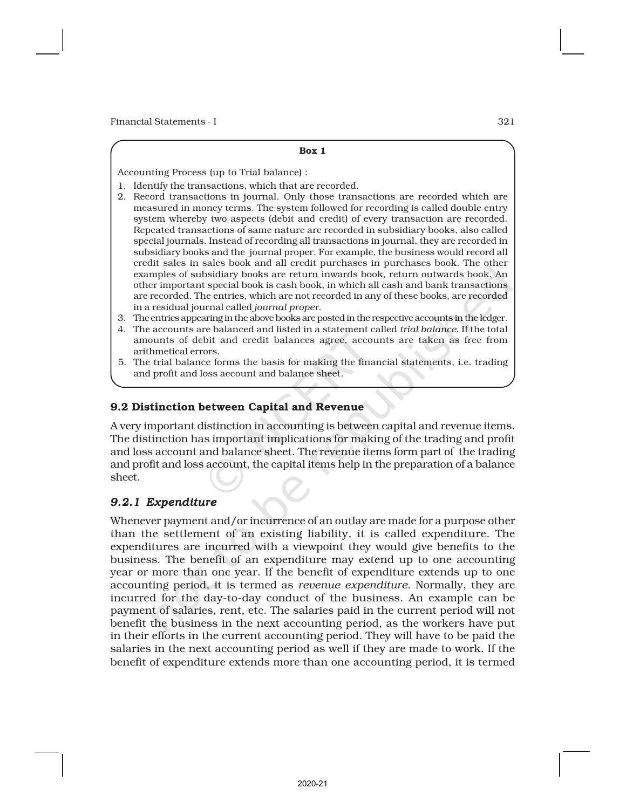#### Box 1

Accounting Process (up to Trial balance) :

- 1. Identify the transactions, which that are recorded.
- 2. Record transactions in journal. Only those transactions are recorded which are measured in money terms. The system followed for recording is called double entry system whereby two aspects (debit and credit) of every transaction are recorded. Repeated transactions of same nature are recorded in subsidiary books, also called special journals. Instead of recording all transactions in journal, they are recorded in subsidiary books and the journal proper. For example, the business would record all credit sales in sales book and all credit purchases in purchases book. The other examples of subsidiary books are return inwards book, return outwards book. An other important special book is cash book, in which all cash and bank transactions are recorded. The entries, which are not recorded in any of these books, are recorded in a residual journal called *journal proper*.
- 3. The entries appearing in the above books are posted in the respective accounts in the ledger.
- 4. The accounts are balanced and listed in a statement called *trial balance*. If the total amounts of debit and credit balances agree, accounts are taken as free from arithmetical errors.
- 5. The trial balance forms the basis for making the financial statements, i.e. trading and profit and loss account and balance sheet.

# 9.2 Distinction between Capital and Revenue

A very important distinction in accounting is between capital and revenue items. The distinction has important implications for making of the trading and profit and loss account and balance sheet. The revenue items form part of the trading and profit and loss account, the capital items help in the preparation of a balance sheet.

# *9.2.1 Expenditure*

Whenever payment and/or incurrence of an outlay are made for a purpose other than the settlement of an existing liability, it is called expenditure. The expenditures are incurred with a viewpoint they would give benefits to the business. The benefit of an expenditure may extend up to one accounting year or more than one year. If the benefit of expenditure extends up to one accounting period, it is termed as *revenue expenditure*. Normally, they are incurred for the day-to-day conduct of the business. An example can be payment of salaries, rent, etc. The salaries paid in the current period will not benefit the business in the next accounting period, as the workers have put in their efforts in the current accounting period. They will have to be paid the salaries in the next accounting period as well if they are made to work. If the benefit of expenditure extends more than one accounting period, it is termed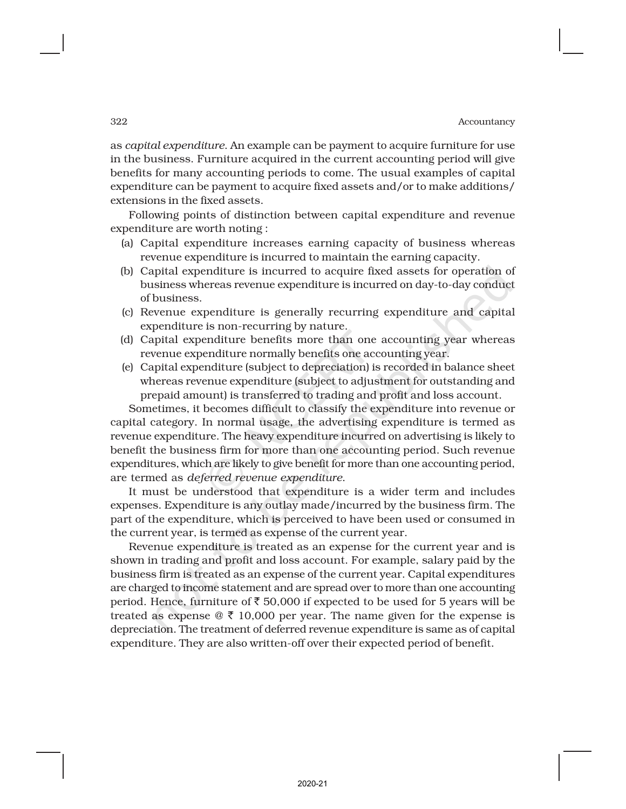as *capital expenditure*. An example can be payment to acquire furniture for use in the business. Furniture acquired in the current accounting period will give benefits for many accounting periods to come. The usual examples of capital expenditure can be payment to acquire fixed assets and/or to make additions/ extensions in the fixed assets.

Following points of distinction between capital expenditure and revenue expenditure are worth noting :

- (a) Capital expenditure increases earning capacity of business whereas revenue expenditure is incurred to maintain the earning capacity.
- (b) Capital expenditure is incurred to acquire fixed assets for operation of business whereas revenue expenditure is incurred on day-to-day conduct of business.
- (c) Revenue expenditure is generally recurring expenditure and capital expenditure is non-recurring by nature.
- (d) Capital expenditure benefits more than one accounting year whereas revenue expenditure normally benefits one accounting year.
- (e) Capital expenditure (subject to depreciation) is recorded in balance sheet whereas revenue expenditure (subject to adjustment for outstanding and prepaid amount) is transferred to trading and profit and loss account.

Sometimes, it becomes difficult to classify the expenditure into revenue or capital category. In normal usage, the advertising expenditure is termed as revenue expenditure. The heavy expenditure incurred on advertising is likely to benefit the business firm for more than one accounting period. Such revenue expenditures, which are likely to give benefit for more than one accounting period, are termed as *deferred revenue expenditure*.

It must be understood that expenditure is a wider term and includes expenses. Expenditure is any outlay made/incurred by the business firm. The part of the expenditure, which is perceived to have been used or consumed in the current year, is termed as expense of the current year.

Revenue expenditure is treated as an expense for the current year and is shown in trading and profit and loss account. For example, salary paid by the business firm is treated as an expense of the current year. Capital expenditures are charged to income statement and are spread over to more than one accounting period. Hence, furniture of  $\bar{\tau}$  50,000 if expected to be used for 5 years will be treated as expense  $\mathcal{Q} \bar{\tau}$  10,000 per year. The name given for the expense is depreciation. The treatment of deferred revenue expenditure is same as of capital expenditure. They are also written-off over their expected period of benefit.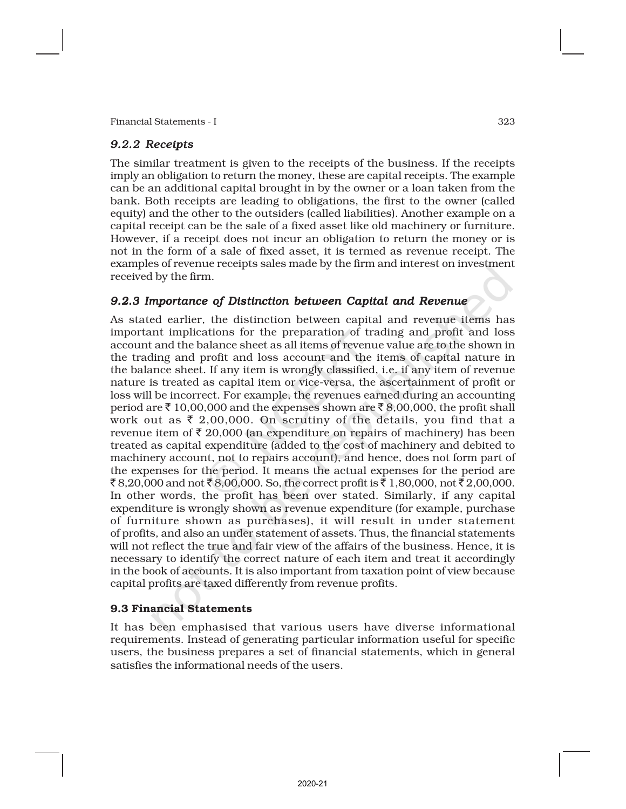# *9.2.2 Receipts*

The similar treatment is given to the receipts of the business. If the receipts imply an obligation to return the money, these are capital receipts. The example can be an additional capital brought in by the owner or a loan taken from the bank. Both receipts are leading to obligations, the first to the owner (called equity) and the other to the outsiders (called liabilities). Another example on a capital receipt can be the sale of a fixed asset like old machinery or furniture. However, if a receipt does not incur an obligation to return the money or is not in the form of a sale of fixed asset, it is termed as revenue receipt. The examples of revenue receipts sales made by the firm and interest on investment received by the firm.

# *9.2.3 Importance of Distinction between Capital and Revenue*

As stated earlier, the distinction between capital and revenue items has important implications for the preparation of trading and profit and loss account and the balance sheet as all items of revenue value are to the shown in the trading and profit and loss account and the items of capital nature in the balance sheet. If any item is wrongly classified, i.e. if any item of revenue nature is treated as capital item or vice-versa, the ascertainment of profit or loss will be incorrect. For example, the revenues earned during an accounting period are  $\bar{\tau}$  10,00,000 and the expenses shown are  $\bar{\tau}$  8,00,000, the profit shall work out as  $\bar{\tau}$  2,00,000. On scrutiny of the details, you find that a revenue item of  $\bar{\tau}$  20,000 (an expenditure on repairs of machinery) has been treated as capital expenditure (added to the cost of machinery and debited to machinery account, not to repairs account), and hence, does not form part of the expenses for the period. It means the actual expenses for the period are ₹8,20,000 and not ₹8,00,000. So, the correct profit is ₹1,80,000, not ₹2,00,000. In other words, the profit has been over stated. Similarly, if any capital expenditure is wrongly shown as revenue expenditure (for example, purchase of furniture shown as purchases), it will result in under statement of profits, and also an under statement of assets. Thus, the financial statements will not reflect the true and fair view of the affairs of the business. Hence, it is necessary to identify the correct nature of each item and treat it accordingly in the book of accounts. It is also important from taxation point of view because capital profits are taxed differently from revenue profits.

# 9.3 Financial Statements

It has been emphasised that various users have diverse informational requirements. Instead of generating particular information useful for specific users, the business prepares a set of financial statements, which in general satisfies the informational needs of the users.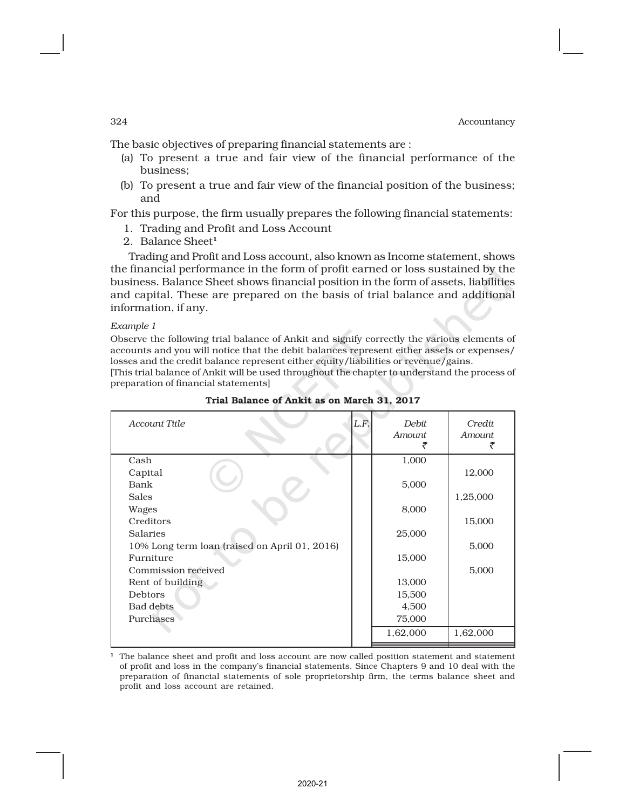The basic objectives of preparing financial statements are :

- (a) To present a true and fair view of the financial performance of the business;
- (b) To present a true and fair view of the financial position of the business; and

For this purpose, the firm usually prepares the following financial statements:

- 1. Trading and Profit and Loss Account
- 2. Balance Sheet<sup>1</sup>

Trading and Profit and Loss account, also known as Income statement, shows the financial performance in the form of profit earned or loss sustained by the business. Balance Sheet shows financial position in the form of assets, liabilities and capital. These are prepared on the basis of trial balance and additional information, if any.

#### *Example 1*

Observe the following trial balance of Ankit and signify correctly the various elements of accounts and you will notice that the debit balances represent either assets or expenses/ losses and the credit balance represent either equity/liabilities or revenue/gains.

[This trial balance of Ankit will be used throughout the chapter to understand the process of preparation of financial statements]

| L.F.<br>Account Title                         |          | Debit<br>Amount | Credit<br>Amount |  |
|-----------------------------------------------|----------|-----------------|------------------|--|
|                                               |          | ₹               |                  |  |
| Cash                                          |          | 1,000           |                  |  |
| Capital                                       |          |                 | 12,000           |  |
| Bank                                          |          | 5,000           |                  |  |
| <b>Sales</b>                                  |          |                 | 1,25,000         |  |
| Wages                                         |          | 8,000           |                  |  |
| Creditors                                     |          |                 | 15,000           |  |
| <b>Salaries</b>                               |          | 25,000          |                  |  |
| 10% Long term loan (raised on April 01, 2016) |          |                 | 5,000            |  |
| Furniture                                     |          | 15,000          |                  |  |
| Commission received                           |          |                 | 5,000            |  |
| Rent of building                              |          | 13,000          |                  |  |
| <b>Debtors</b>                                |          | 15,500          |                  |  |
| Bad debts                                     |          | 4,500           |                  |  |
| Purchases                                     |          | 75,000          |                  |  |
|                                               | 1,62,000 |                 | 1,62,000         |  |
|                                               |          |                 |                  |  |

| Trial Balance of Ankit as on March 31, 2017 |  |
|---------------------------------------------|--|
|---------------------------------------------|--|

<sup>1</sup> The balance sheet and profit and loss account are now called position statement and statement of profit and loss in the company's financial statements. Since Chapters 9 and 10 deal with the preparation of financial statements of sole proprietorship firm, the terms balance sheet and profit and loss account are retained.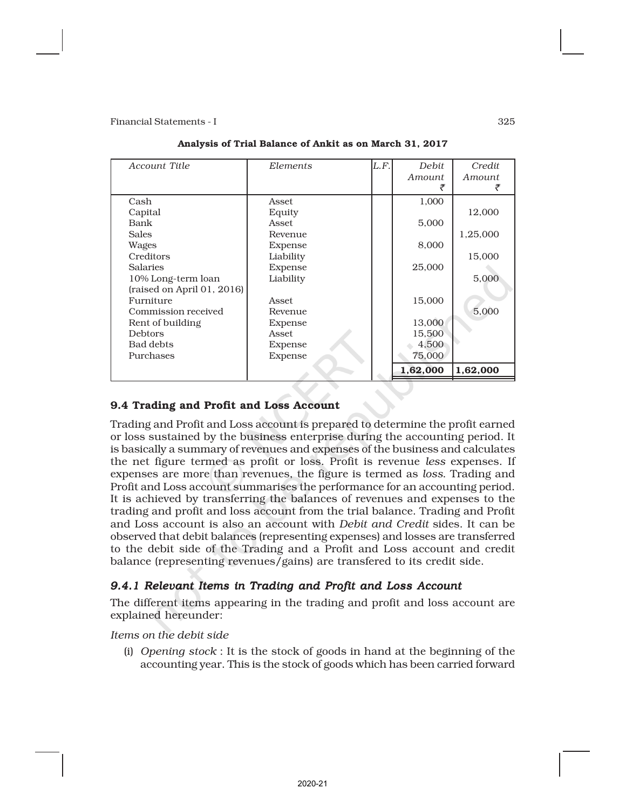| Account Title              | Elements     | L.F. | Debit<br><i>Amount</i> | Credit<br><i>Amount</i> |
|----------------------------|--------------|------|------------------------|-------------------------|
| Cash                       | <b>Asset</b> |      | 1,000                  |                         |
|                            |              |      |                        |                         |
| Capital                    | Equity       |      |                        | 12,000                  |
| Bank                       | <b>Asset</b> |      | 5,000                  |                         |
| <b>Sales</b>               | Revenue      |      |                        | 1,25,000                |
| Wages                      | Expense      |      | 8,000                  |                         |
| Creditors                  | Liability    |      |                        | 15,000                  |
| <b>Salaries</b>            | Expense      |      | 25,000                 |                         |
| 10% Long-term loan         | Liability    |      |                        | 5,000                   |
| (raised on April 01, 2016) |              |      |                        |                         |
| Furniture                  | <b>Asset</b> |      | 15,000                 |                         |
| Commission received        | Revenue      |      |                        | 5,000                   |
| Rent of building           | Expense      |      | 13,000                 |                         |
| <b>Debtors</b>             | <b>Asset</b> |      | 15,500                 |                         |
| Bad debts                  | Expense      |      | 4,500                  |                         |
| Purchases                  | Expense      |      | 75,000                 |                         |
|                            |              |      | 1,62,000               | 1.62.000                |

#### Analysis of Trial Balance of Ankit as on March 31, 2017

# 9.4 Trading and Profit and Loss Account

Trading and Profit and Loss account is prepared to determine the profit earned or loss sustained by the business enterprise during the accounting period. It is basically a summary of revenues and expenses of the business and calculates the net figure termed as profit or loss. Profit is revenue *less* expenses. If expenses are more than revenues, the figure is termed as *loss*. Trading and Profit and Loss account summarises the performance for an accounting period. It is achieved by transferring the balances of revenues and expenses to the trading and profit and loss account from the trial balance. Trading and Profit and Loss account is also an account with *Debit and Credit* sides. It can be observed that debit balances (representing expenses) and losses are transferred to the debit side of the Trading and a Profit and Loss account and credit balance (representing revenues/gains) are transfered to its credit side.

# *9.4.1 Relevant Items in Trading and Profit and Loss Account*

The different items appearing in the trading and profit and loss account are explained hereunder:

*Items on the debit side*

(i) *Opening stock* : It is the stock of goods in hand at the beginning of the accounting year. This is the stock of goods which has been carried forward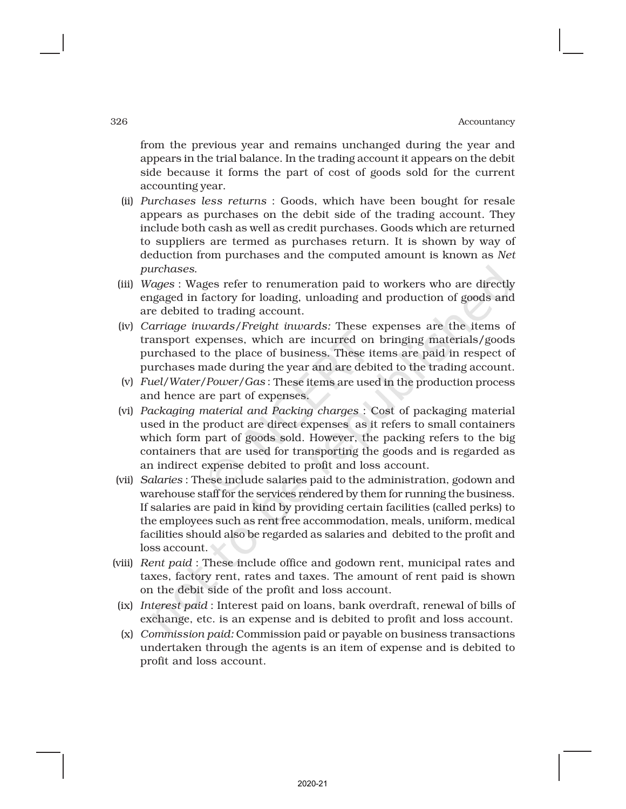from the previous year and remains unchanged during the year and appears in the trial balance. In the trading account it appears on the debit side because it forms the part of cost of goods sold for the current accounting year.

- (ii) *Purchases less returns* : Goods, which have been bought for resale appears as purchases on the debit side of the trading account. They include both cash as well as credit purchases. Goods which are returned to suppliers are termed as purchases return. It is shown by way of deduction from purchases and the computed amount is known as *Net purchases*.
- (iii) *Wages* : Wages refer to renumeration paid to workers who are directly engaged in factory for loading, unloading and production of goods and are debited to trading account.
- (iv) *Carriage inwards/Freight inwards:* These expenses are the items of transport expenses, which are incurred on bringing materials/goods purchased to the place of business. These items are paid in respect of purchases made during the year and are debited to the trading account.
- (v) *Fuel/Water/Power/Gas* : These items are used in the production process and hence are part of expenses.
- (vi) *Packaging material and Packing charges* : Cost of packaging material used in the product are direct expenses as it refers to small containers which form part of goods sold. However, the packing refers to the big containers that are used for transporting the goods and is regarded as an indirect expense debited to profit and loss account.
- (vii) *Salaries* : These include salaries paid to the administration, godown and warehouse staff for the services rendered by them for running the business. If salaries are paid in kind by providing certain facilities (called perks) to the employees such as rent free accommodation, meals, uniform, medical facilities should also be regarded as salaries and debited to the profit and loss account.
- (viii) *Rent paid* : These include office and godown rent, municipal rates and taxes, factory rent, rates and taxes. The amount of rent paid is shown on the debit side of the profit and loss account.
- (ix) *Interest paid* : Interest paid on loans, bank overdraft, renewal of bills of exchange, etc. is an expense and is debited to profit and loss account.
- (x) *Commission paid:* Commission paid or payable on business transactions undertaken through the agents is an item of expense and is debited to profit and loss account.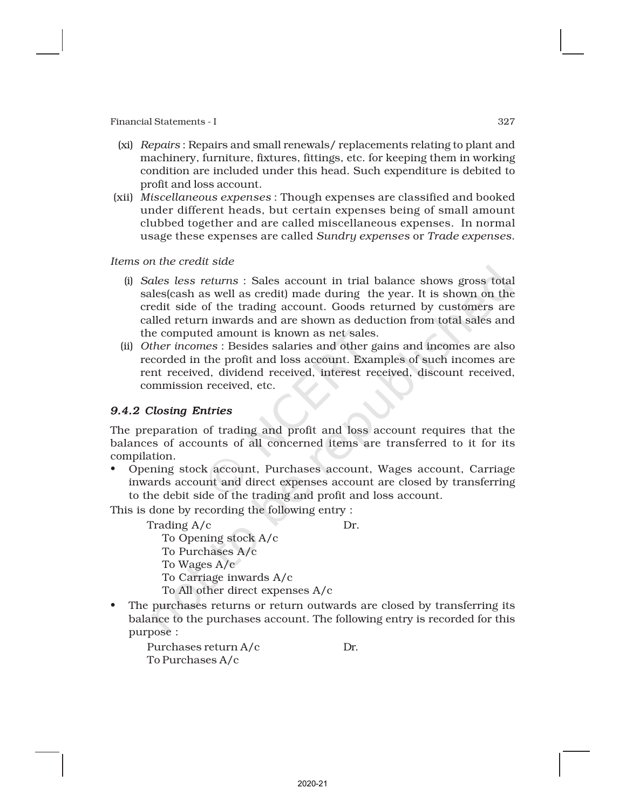- (xi) *Repairs* : Repairs and small renewals/ replacements relating to plant and machinery, furniture, fixtures, fittings, etc. for keeping them in working condition are included under this head. Such expenditure is debited to profit and loss account.
- (xii) *Miscellaneous expenses* : Though expenses are classified and booked under different heads, but certain expenses being of small amount clubbed together and are called miscellaneous expenses. In normal usage these expenses are called *Sundry expenses* or *Trade expenses*.

*Items on the credit side*

- (i) *Sales less returns* : Sales account in trial balance shows gross total sales(cash as well as credit) made during the year. It is shown on the credit side of the trading account. Goods returned by customers are called return inwards and are shown as deduction from total sales and the computed amount is known as net sales.
- (ii) *Other incomes* : Besides salaries and other gains and incomes are also recorded in the profit and loss account. Examples of such incomes are rent received, dividend received, interest received, discount received, commission received, etc.

# *9.4.2 Closing Entries*

The preparation of trading and profit and loss account requires that the balances of accounts of all concerned items are transferred to it for its compilation.

• Opening stock account, Purchases account, Wages account, Carriage inwards account and direct expenses account are closed by transferring to the debit side of the trading and profit and loss account.

This is done by recording the following entry :

Trading A/c Dr.

To Opening stock A/c

To Purchases A/c

To Wages A/c

To Carriage inwards A/c

- To All other direct expenses A/c
- The purchases returns or return outwards are closed by transferring its balance to the purchases account. The following entry is recorded for this purpose :

Purchases return A/c Dr. To Purchases A/c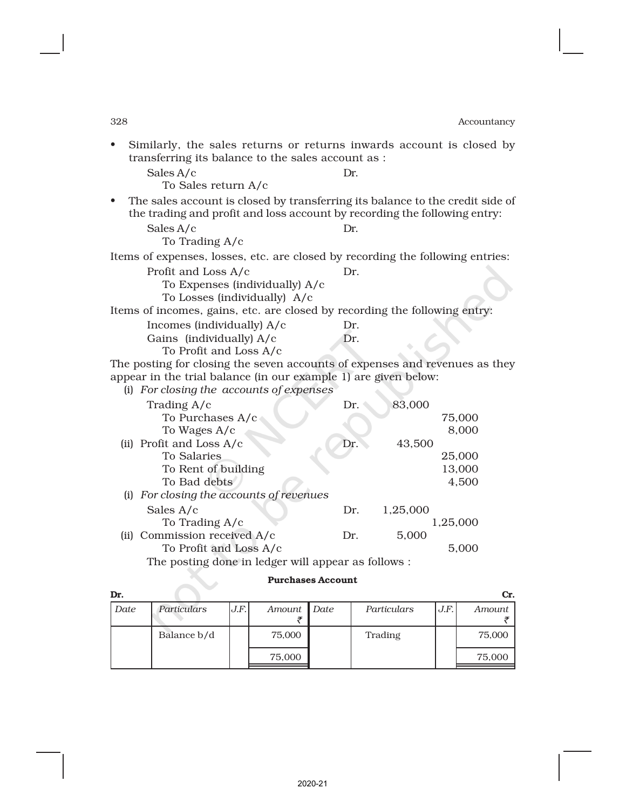| Similarly, the sales returns or returns inwards account is closed by<br>transferring its balance to the sales account as :                                 |     |                   |  |  |  |  |  |  |
|------------------------------------------------------------------------------------------------------------------------------------------------------------|-----|-------------------|--|--|--|--|--|--|
| Sales A/c<br>To Sales return A/c                                                                                                                           | Dr. |                   |  |  |  |  |  |  |
| The sales account is closed by transferring its balance to the credit side of<br>the trading and profit and loss account by recording the following entry: |     |                   |  |  |  |  |  |  |
| Sales A/c<br>To Trading A/c                                                                                                                                | Dr. |                   |  |  |  |  |  |  |
| Items of expenses, losses, etc. are closed by recording the following entries:                                                                             |     |                   |  |  |  |  |  |  |
| Profit and Loss A/c                                                                                                                                        | Dr. |                   |  |  |  |  |  |  |
| To Expenses (individually) A/c                                                                                                                             |     |                   |  |  |  |  |  |  |
| To Losses (individually) A/c                                                                                                                               |     |                   |  |  |  |  |  |  |
| Items of incomes, gains, etc. are closed by recording the following entry:                                                                                 |     |                   |  |  |  |  |  |  |
| Incomes (individually) A/c                                                                                                                                 | Dr. |                   |  |  |  |  |  |  |
| Gains (individually) A/c                                                                                                                                   | Dr. |                   |  |  |  |  |  |  |
| To Profit and Loss A/c                                                                                                                                     |     |                   |  |  |  |  |  |  |
| The posting for closing the seven accounts of expenses and revenues as they                                                                                |     |                   |  |  |  |  |  |  |
| appear in the trial balance (in our example 1) are given below:                                                                                            |     |                   |  |  |  |  |  |  |
| (i) For closing the accounts of expenses                                                                                                                   |     |                   |  |  |  |  |  |  |
| Trading A/c                                                                                                                                                | Dr. | 83,000            |  |  |  |  |  |  |
| To Purchases A/c                                                                                                                                           |     | 75,000            |  |  |  |  |  |  |
| To Wages A/c                                                                                                                                               |     | 8,000             |  |  |  |  |  |  |
| (ii) Profit and Loss A/c                                                                                                                                   | Dr. | 43,500            |  |  |  |  |  |  |
| <b>To Salaries</b>                                                                                                                                         |     | 25,000            |  |  |  |  |  |  |
| To Rent of building<br>To Bad debts                                                                                                                        |     | 13,000            |  |  |  |  |  |  |
|                                                                                                                                                            |     | 4,500             |  |  |  |  |  |  |
| (i) For closing the accounts of revenues                                                                                                                   |     |                   |  |  |  |  |  |  |
| Sales A/c                                                                                                                                                  | Dr. | 1,25,000          |  |  |  |  |  |  |
| To Trading A/c<br>(ii) Commission received A/c                                                                                                             | Dr. | 1,25,000<br>5,000 |  |  |  |  |  |  |
| To Profit and Loss A/c                                                                                                                                     |     | 5,000             |  |  |  |  |  |  |
| The posting done in ledger will appear as follows :                                                                                                        |     |                   |  |  |  |  |  |  |
|                                                                                                                                                            |     |                   |  |  |  |  |  |  |
| <b>Purchases Account</b>                                                                                                                                   |     |                   |  |  |  |  |  |  |

| Dr.  |             |                  |             |             |      | Cr.    |
|------|-------------|------------------|-------------|-------------|------|--------|
| Date | Particulars | $ J\!.$ $F.$ $ $ | Amount Date | Particulars | J.F. | Amount |
|      | Balance b/d |                  | 75,000      | Trading     |      | 75,000 |
|      |             |                  | 75,000      |             |      | 75,000 |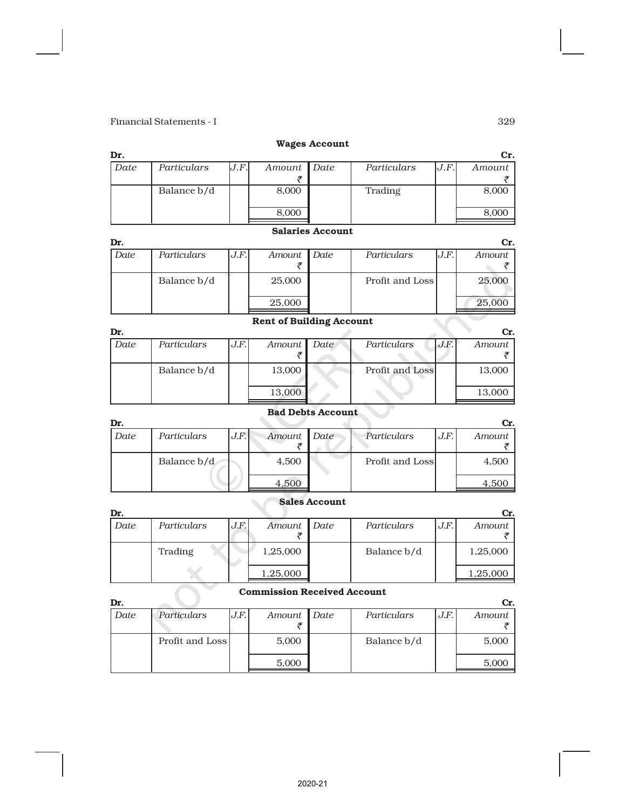## Wages Account

| Dr.  |             |      |             |             |       | Сr.    |
|------|-------------|------|-------------|-------------|-------|--------|
| Date | Particulars | J.F. | Amount Date | Particulars | J.F.I | Amount |
|      |             |      |             |             |       |        |
|      | Balance b/d |      | 8,000       | Trading     |       | 8,000  |
|      |             |      |             |             |       |        |
|      |             |      | 3,000       |             |       |        |
|      |             |      |             |             |       |        |

# Salaries Account

| Dr.  |             |      |        |        |                 |      | Cr.    |
|------|-------------|------|--------|--------|-----------------|------|--------|
| Date | Particulars | J.F. | Amount | l Date | Particulars     | J.F. | Amount |
|      |             |      |        |        |                 |      |        |
|      | Balance b/d |      | 25,000 |        | Profit and Loss |      | 25,000 |
|      |             |      | 25,000 |        |                 |      | 25,000 |
|      |             |      |        |        |                 |      |        |

# Rent of Building Account

| Dr.  |             |      |        |      |                 |      | Cr.    |
|------|-------------|------|--------|------|-----------------|------|--------|
| Date | Particulars | J.F. | Amount | Date | Particulars     | J.F. | Amount |
|      |             |      |        |      |                 |      |        |
|      | Balance b/d |      | 13,000 |      | Profit and Loss |      | 13,000 |
|      |             |      | 13,000 |      |                 |      | 13,000 |

# Bad Debts Account

| Dr.  |             |      |             |                 |      |        |
|------|-------------|------|-------------|-----------------|------|--------|
| Date | Particulars | J.F. | Amount Date | Particulars     | J.F. | Amount |
|      |             |      |             |                 |      |        |
|      | Balance b/d |      | 4,500       | Profit and Loss |      | 4,500  |
|      |             |      | 4.500       |                 |      | 4.500  |

# Sales Account

| Dr.  |             |      |             |             |      | Cr.      |
|------|-------------|------|-------------|-------------|------|----------|
| Date | Particulars | J.F. | Amount Date | Particulars | J.F. | Amount   |
|      |             |      |             |             |      |          |
|      | Trading     |      | 1,25,000    | Balance b/d |      | 1,25,000 |
|      |             |      | .25,000     |             |      | 1,25,000 |

## Commission Received Account

| Dr.  |                 |      |             |             |      | Cr.    |
|------|-----------------|------|-------------|-------------|------|--------|
| Date | Particulars     | J.F. | Amount Date | Particulars | J.F. | Amount |
|      |                 |      |             |             |      |        |
|      | Profit and Loss |      | 5,000       | Balance b/d |      | 5,000  |
|      |                 |      | 5.000       |             |      | 5.00C  |
|      |                 |      |             |             |      |        |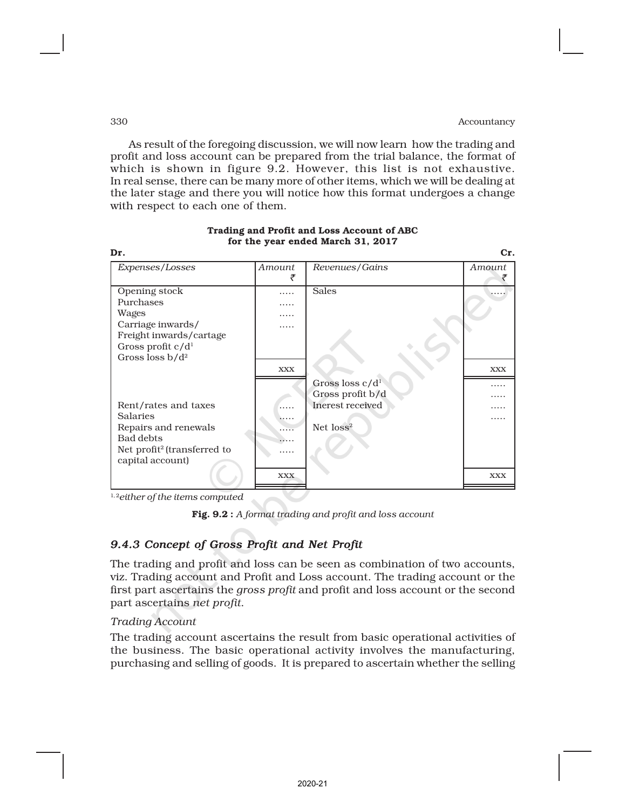As result of the foregoing discussion, we will now learn how the trading and profit and loss account can be prepared from the trial balance, the format of which is shown in figure 9.2. However, this list is not exhaustive. In real sense, there can be many more of other items, which we will be dealing at the later stage and there you will notice how this format undergoes a change with respect to each one of them.

| Dr.                                     |            |                   | Cr.        |
|-----------------------------------------|------------|-------------------|------------|
| Expenses/Losses                         | Amount     | Revenues/Gains    | Amount     |
|                                         | ₹          |                   |            |
| Opening stock                           | .          | <b>Sales</b>      |            |
| Purchases                               | .          |                   |            |
| Wages                                   | .          |                   |            |
| Carriage inwards/                       | .          |                   |            |
| Freight inwards/cartage                 |            |                   |            |
| Gross profit $c/d1$                     |            |                   |            |
| Gross loss $b/d^2$                      |            |                   |            |
|                                         | <b>XXX</b> |                   | <b>XXX</b> |
|                                         |            | Gross loss $c/d1$ |            |
|                                         |            | Gross profit b/d  |            |
| Rent/rates and taxes                    | .          | Inerest received  |            |
| <b>Salaries</b>                         | .          |                   | .          |
| Repairs and renewals                    | .          | Net $loss2$       |            |
| <b>Bad debts</b>                        | .          |                   |            |
| Net profit <sup>2</sup> (transferred to | .          |                   |            |
| capital account)                        |            |                   |            |
|                                         | <b>XXX</b> |                   | <b>XXX</b> |
|                                         |            |                   |            |

### Trading and Profit and Loss Account of ABC for the year ended March 31, 2017

1,2*either of the items computed*

Fig. 9.2 : *A format trading and profit and loss account*

# *9.4.3 Concept of Gross Profit and Net Profit*

The trading and profit and loss can be seen as combination of two accounts, viz. Trading account and Profit and Loss account. The trading account or the first part ascertains the *gross profit* and profit and loss account or the second part ascertains *net profit*.

# *Trading Account*

The trading account ascertains the result from basic operational activities of the business. The basic operational activity involves the manufacturing, purchasing and selling of goods. It is prepared to ascertain whether the selling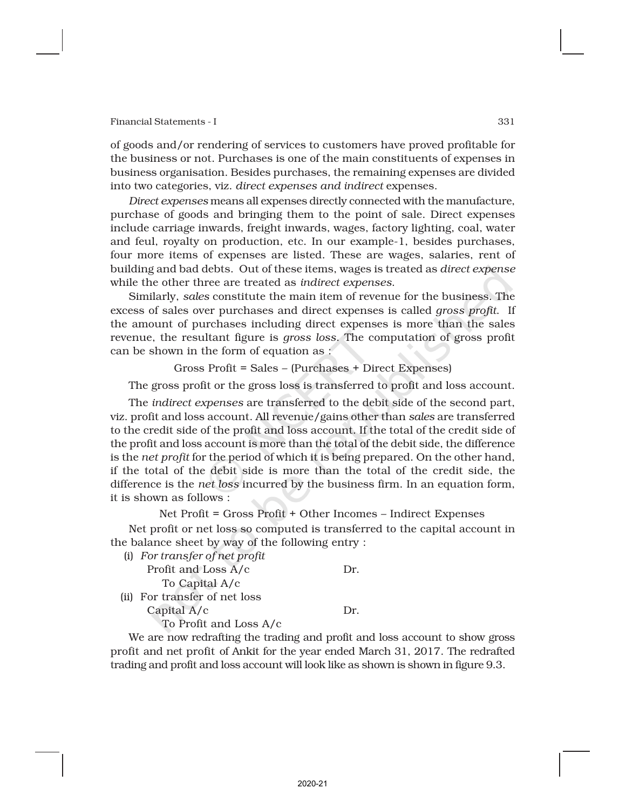of goods and/or rendering of services to customers have proved profitable for the business or not. Purchases is one of the main constituents of expenses in business organisation. Besides purchases, the remaining expenses are divided into two categories, viz. *direct expenses and indirect* expenses.

*Direct expenses* means all expenses directly connected with the manufacture, purchase of goods and bringing them to the point of sale. Direct expenses include carriage inwards, freight inwards, wages, factory lighting, coal, water and feul, royalty on production, etc. In our example-1, besides purchases, four more items of expenses are listed. These are wages, salaries, rent of building and bad debts. Out of these items, wages is treated as *direct expense* while the other three are treated as *indirect expenses*.

Similarly, *sales* constitute the main item of revenue for the business. The excess of sales over purchases and direct expenses is called *gross profit*. If the amount of purchases including direct expenses is more than the sales revenue, the resultant figure is *gross loss*. The computation of gross profit can be shown in the form of equation as :

Gross Profit = Sales – (Purchases + Direct Expenses)

The gross profit or the gross loss is transferred to profit and loss account.

The *indirect expenses* are transferred to the debit side of the second part, viz. profit and loss account. All revenue/gains other than *sales* are transferred to the credit side of the profit and loss account. If the total of the credit side of the profit and loss account is more than the total of the debit side, the difference is the *net profit* for the period of which it is being prepared. On the other hand, if the total of the debit side is more than the total of the credit side, the difference is the *net loss* incurred by the business firm. In an equation form, it is shown as follows :

Net Profit = Gross Profit + Other Incomes – Indirect Expenses Net profit or net loss so computed is transferred to the capital account in the balance sheet by way of the following entry :

| (i) For transfer of net profit |     |
|--------------------------------|-----|
| Profit and Loss A/c            | Dr. |
| To Capital A/c                 |     |
| (ii) For transfer of net loss  |     |
| Capital A/c                    | Dr. |
| To Profit and Loss A/c         |     |
|                                |     |

We are now redrafting the trading and profit and loss account to show gross profit and net profit of Ankit for the year ended March 31, 2017. The redrafted trading and profit and loss account will look like as shown is shown in figure 9.3.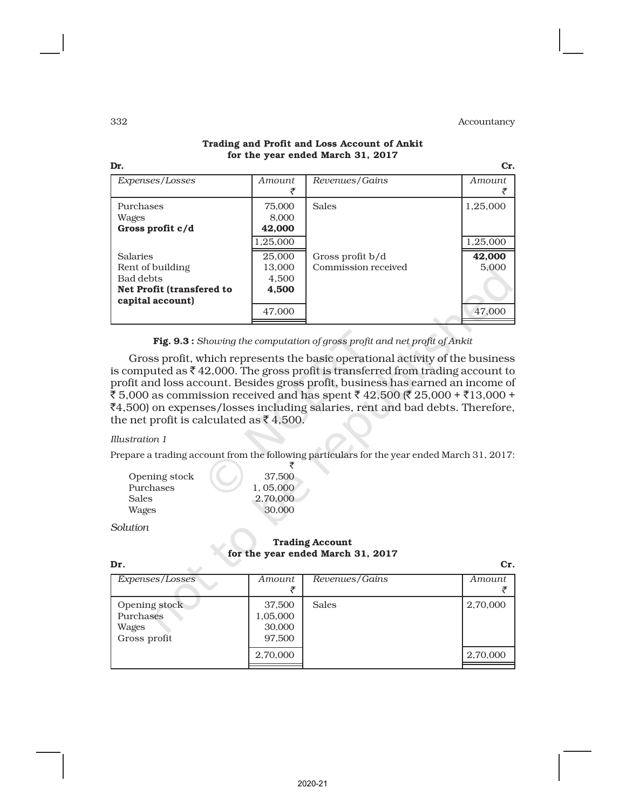| Dr.                              |               |                     | Cr.      |
|----------------------------------|---------------|---------------------|----------|
| Expenses/Losses                  | <i>Amount</i> | Revenues/Gains      | Amount   |
|                                  |               |                     |          |
| Purchases                        | 75,000        | <b>Sales</b>        | 1,25,000 |
| Wages                            | 8.000         |                     |          |
| Gross profit c/d                 | 42,000        |                     |          |
|                                  | 1,25,000      |                     | 1,25,000 |
| Salaries                         | 25,000        | Gross profit b/d    | 42.000   |
| Rent of building                 | 13,000        | Commission received | 5.000    |
| Bad debts                        | 4,500         |                     |          |
| <b>Net Profit (transfered to</b> | 4.500         |                     |          |
| capital account)                 |               |                     |          |
|                                  | 47,000        |                     | 47,000   |
|                                  |               |                     |          |

#### Trading and Profit and Loss Account of Ankit for the year ended March 31, 2017

Fig. 9.3 : *Showing the computation of gross profit and net profit of Ankit*

Gross profit, which represents the basic operational activity of the business is computed as  $\bar{\tau}$  42,000. The gross profit is transferred from trading account to profit and loss account. Besides gross profit, business has earned an income of ₹ 5,000 as commission received and has spent ₹ 42,500 (₹ 25,000 + ₹13,000 + `4,500) on expenses/losses including salaries, rent and bad debts. Therefore, the net profit is calculated as  $\bar{x}$  4,500.

#### *Illustration 1*

Prepare a trading account from the following particulars for the year ended March 31, 2017:

|               | ₹        |
|---------------|----------|
| Opening stock | 37,500   |
| Purchases     | 1.05.000 |
| <b>Sales</b>  | 2.70.000 |
| Wages         | 30,000   |
|               |          |

*Solution*

### Trading Account for the year ended March 31, 2017

| Dr. | ⌒…<br>u. |
|-----|----------|
|-----|----------|

| Expenses/Losses                                     | Amount                                 | Revenues/Gains | Amount   |
|-----------------------------------------------------|----------------------------------------|----------------|----------|
| Opening stock<br>Purchases<br>Wages<br>Gross profit | 37,500<br>1,05,000<br>30,000<br>97,500 | <b>Sales</b>   | 2,70,000 |
|                                                     | 2,70,000                               |                | 2,70,000 |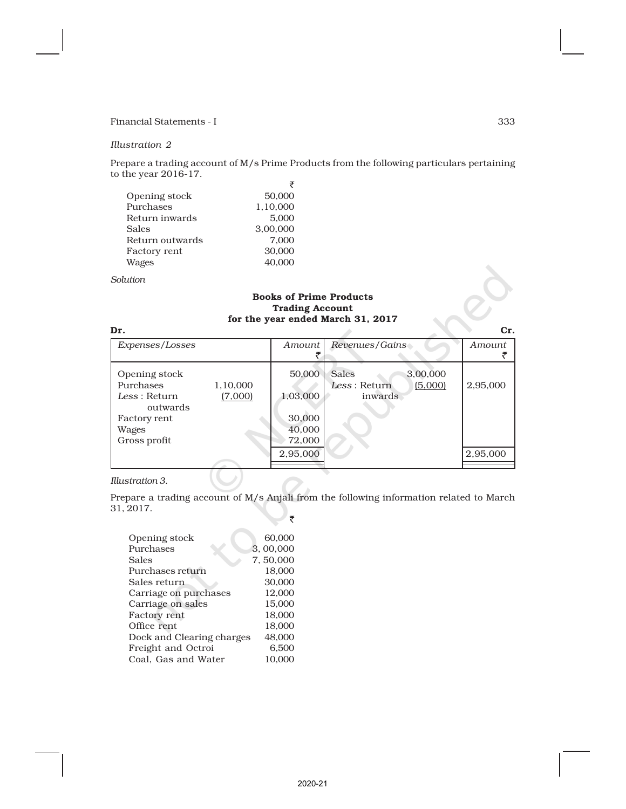#### *Illustration 2*

Prepare a trading account of M/s Prime Products from the following particulars pertaining to the year 2016-17.  $\equiv$ 

| Opening stock   | 50,000   |
|-----------------|----------|
| Purchases       | 1,10,000 |
| Return inwards  | 5.000    |
| <b>Sales</b>    | 3.00.000 |
| Return outwards | 7.000    |
| Factory rent    | 30,000   |
| Wages           | 40,000   |
|                 |          |

*Solution*

#### Books of Prime Products Trading Account for the year ended March 31, 2017

| Dr.                                                                              |                     |                                        |                                         |                     | Cr.      |
|----------------------------------------------------------------------------------|---------------------|----------------------------------------|-----------------------------------------|---------------------|----------|
| Expenses/Losses                                                                  |                     | Amount                                 | Revenues/Gains                          |                     | Amount   |
|                                                                                  |                     |                                        |                                         |                     |          |
| Opening stock<br>Purchases<br>Less : Return<br>outwards<br>Factory rent<br>Wages | 1,10,000<br>(7,000) | 50,000<br>1,03,000<br>30,000<br>40,000 | <b>Sales</b><br>Less: Return<br>inwards | 3,00,000<br>(5,000) | 2,95,000 |
| Gross profit                                                                     |                     | 72,000                                 |                                         |                     |          |
|                                                                                  |                     | 2,95,000                               |                                         |                     | 2,95,000 |
|                                                                                  |                     |                                        |                                         |                     |          |

*Illustration 3.*

Prepare a trading account of M/s Anjali from the following information related to March 31, 2017. `

| Opening stock             | 60,000   |
|---------------------------|----------|
| Purchases                 | 3.00.000 |
| <b>Sales</b>              | 7.50.000 |
| Purchases return          | 18.000   |
| Sales return              | 30,000   |
| Carriage on purchases     | 12,000   |
| Carriage on sales         | 15.000   |
| <b>Factory rent</b>       | 18.000   |
| Office rent               | 18.000   |
| Dock and Clearing charges | 48,000   |
| Freight and Octroi        | 6,500    |
| Coal, Gas and Water       | 10.000   |
|                           |          |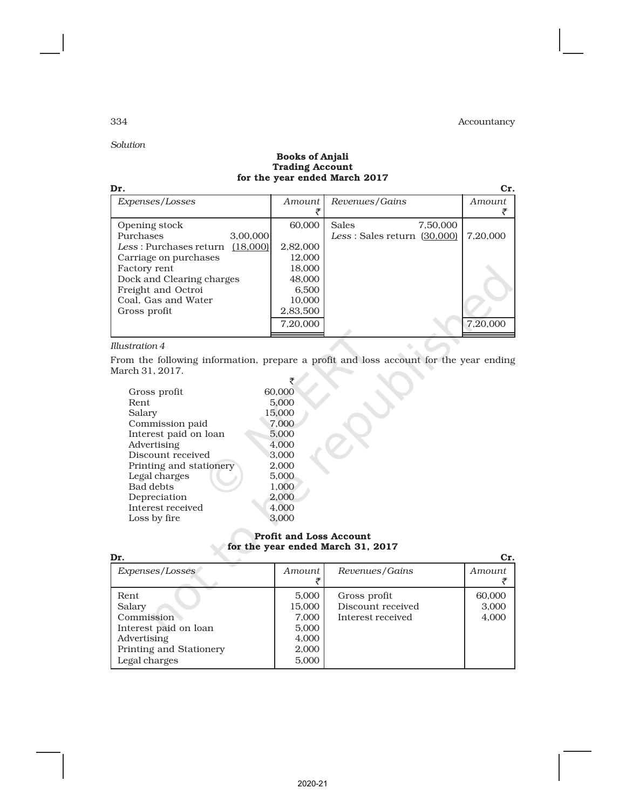## *Solution*

#### Books of Anjali Trading Account for the year ended March 2017

| Dr.                             |          |                             | Cr.      |
|---------------------------------|----------|-----------------------------|----------|
| Expenses/Losses                 | Amount   | Revenues/Gains              | Amount   |
|                                 |          |                             |          |
| Opening stock                   | 60,000   | <b>Sales</b><br>7,50,000    |          |
| Purchases<br>3,00,000           |          | Less: Sales return (30,000) | 7,20,000 |
| Less: Purchases return (18,000) | 2,82,000 |                             |          |
| Carriage on purchases           | 12,000   |                             |          |
| Factory rent                    | 18,000   |                             |          |
| Dock and Clearing charges       | 48,000   |                             |          |
| Freight and Octroi              | 6,500    |                             |          |
| Coal, Gas and Water             | 10,000   |                             |          |
| Gross profit                    | 2,83,500 |                             |          |
|                                 | 7,20,000 |                             | 7,20,000 |
|                                 |          |                             |          |

#### *Illustration 4*

From the following information, prepare a profit and loss account for the year ending March 31, 2017.  $\overline{\mathcal{F}}$ 

| Gross profit            | 60,000 |
|-------------------------|--------|
| Rent.                   | 5,000  |
| Salary                  | 15,000 |
| Commission paid         | 7.000  |
| Interest paid on loan   | 5,000  |
| Advertising             | 4,000  |
| Discount received       | 3,000  |
| Printing and stationery | 2,000  |
| Legal charges           | 5,000  |
| Bad debts               | 1,000  |
| Depreciation            | 2,000  |
| Interest received       | 4.000  |
| Loss by fire            | 3.000  |
|                         |        |

### Profit and Loss Account for the year ended March 31, 2017

| Dr.                     |        |                   | Cr.    |
|-------------------------|--------|-------------------|--------|
| Expenses/Losses         | Amount | Revenues/Gains    | Amount |
| Rent                    | 5,000  | Gross profit      | 60,000 |
| Salary                  | 15,000 | Discount received | 3,000  |
| Commission              | 7,000  | Interest received | 4,000  |
| Interest paid on loan   | 5,000  |                   |        |
| Advertising             | 4,000  |                   |        |
| Printing and Stationery | 2,000  |                   |        |
| Legal charges           | 5,000  |                   |        |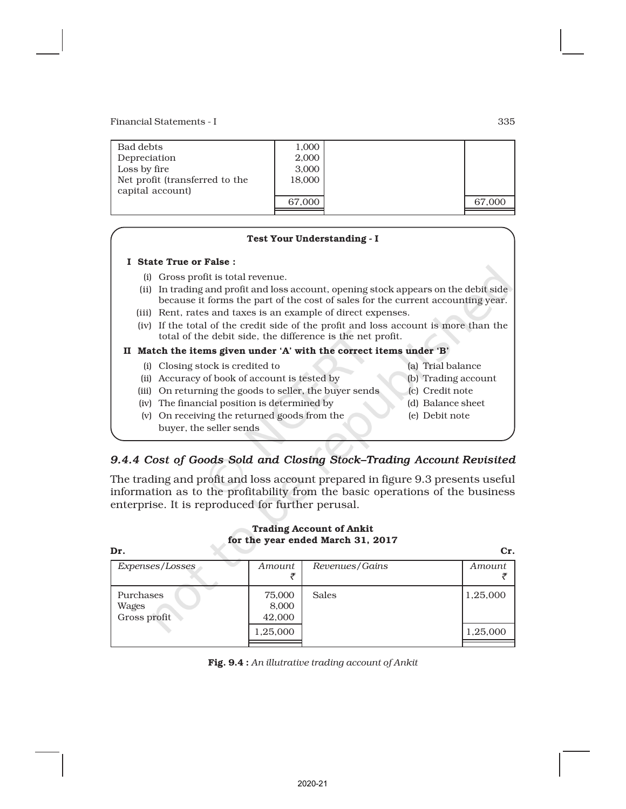| Bad debts                      | 1,000  |        |
|--------------------------------|--------|--------|
| Depreciation                   | 2,000  |        |
| Loss by fire                   | 3,000  |        |
| Net profit (transferred to the | 18,000 |        |
| capital account)               |        |        |
|                                | 67,000 | 67,000 |
|                                |        |        |

#### Test Your Understanding - I

#### I State True or False :

- (i) Gross profit is total revenue.
- (ii) In trading and profit and loss account, opening stock appears on the debit side because it forms the part of the cost of sales for the current accounting year.
- (iii) Rent, rates and taxes is an example of direct expenses.
- (iv) If the total of the credit side of the profit and loss account is more than the total of the debit side, the difference is the net profit.

# II Match the items given under 'A' with the correct items under 'B'

- (i) Closing stock is credited to (a) Trial balance
- (ii) Accuracy of book of account is tested by (b) Trading account
- (iii) On returning the goods to seller, the buyer sends (c) Credit note
- (iv) The financial position is determined by (d) Balance sheet
	-
- (v) On receiving the returned goods from the (e) Debit note buyer, the seller sends

# *9.4.4 Cost of Goods Sold and Closing Stock–Trading Account Revisited*

The trading and profit and loss account prepared in figure 9.3 presents useful information as to the profitability from the basic operations of the business enterprise. It is reproduced for further perusal.

| Dr.                                |                           | $\frac{1}{2}$ and $\frac{1}{2}$ and $\frac{1}{2}$ and $\frac{1}{2}$ and $\frac{1}{2}$ and $\frac{1}{2}$ and $\frac{1}{2}$ and $\frac{1}{2}$ and $\frac{1}{2}$ and $\frac{1}{2}$ and $\frac{1}{2}$ and $\frac{1}{2}$ and $\frac{1}{2}$ and $\frac{1}{2}$ and $\frac{1}{2}$ and $\frac{1}{2}$ a | Cr.      |
|------------------------------------|---------------------------|-----------------------------------------------------------------------------------------------------------------------------------------------------------------------------------------------------------------------------------------------------------------------------------------------|----------|
| Expenses/Losses                    | Amount                    | Revenues/Gains                                                                                                                                                                                                                                                                                | Amount   |
| Purchases<br>Wages<br>Gross profit | 75,000<br>8,000<br>42,000 | <b>Sales</b>                                                                                                                                                                                                                                                                                  | 1,25,000 |
|                                    | 1,25,000                  |                                                                                                                                                                                                                                                                                               | 1,25,000 |

Trading Account of Ankit for the year ended March 31, 2017

Fig. 9.4 : *An illutrative trading account of Ankit*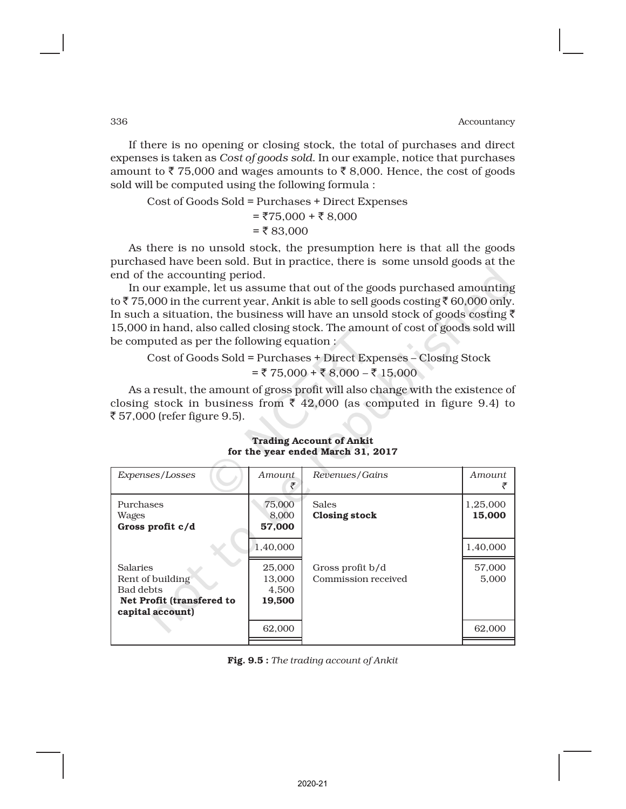If there is no opening or closing stock, the total of purchases and direct expenses is taken as *Cost of goods sold*. In our example, notice that purchases amount to  $\bar{\tau}$  75,000 and wages amounts to  $\bar{\tau}$  8,000. Hence, the cost of goods sold will be computed using the following formula :

Cost of Goods Sold = Purchases + Direct Expenses

 $=$  ₹75,000 + ₹ 8,000

 $=$  ₹ 83,000

As there is no unsold stock, the presumption here is that all the goods purchased have been sold. But in practice, there is some unsold goods at the end of the accounting period.

In our example, let us assume that out of the goods purchased amounting to  $\bar{\tau}$  75,000 in the current year, Ankit is able to sell goods costing  $\bar{\tau}$  60,000 only. In such a situation, the business will have an unsold stock of goods costing  $\bar{\tau}$ 15,000 in hand, also called closing stock. The amount of cost of goods sold will be computed as per the following equation :

Cost of Goods Sold = Purchases + Direct Expenses – Closing Stock  $=$  ₹ 75,000 + ₹ 8,000  $-$  ₹ 15,000

As a result, the amount of gross profit will also change with the existence of closing stock in business from  $\bar{\tau}$  42,000 (as computed in figure 9.4) to ₹ 57,000 (refer figure 9.5).

| Expenses/Losses                                                                                                 | Amount<br>₹                         | Revenues/Gains                          | Amount             |
|-----------------------------------------------------------------------------------------------------------------|-------------------------------------|-----------------------------------------|--------------------|
| Purchases<br>Wages<br>Gross profit c/d                                                                          | 75,000<br>8,000<br>57.000           | <b>Sales</b><br><b>Closing stock</b>    | 1,25,000<br>15,000 |
|                                                                                                                 | 1,40,000                            |                                         | 1,40,000           |
| <b>Salaries</b><br>Rent of building<br><b>Bad debts</b><br><b>Net Profit (transfered to</b><br>capital account) | 25,000<br>13,000<br>4,500<br>19,500 | Gross profit b/d<br>Commission received | 57,000<br>5,000    |
|                                                                                                                 | 62,000                              |                                         | 62,000             |
|                                                                                                                 |                                     |                                         |                    |

#### Trading Account of Ankit for the year ended March 31, 2017

Fig. 9.5 : *The trading account of Ankit*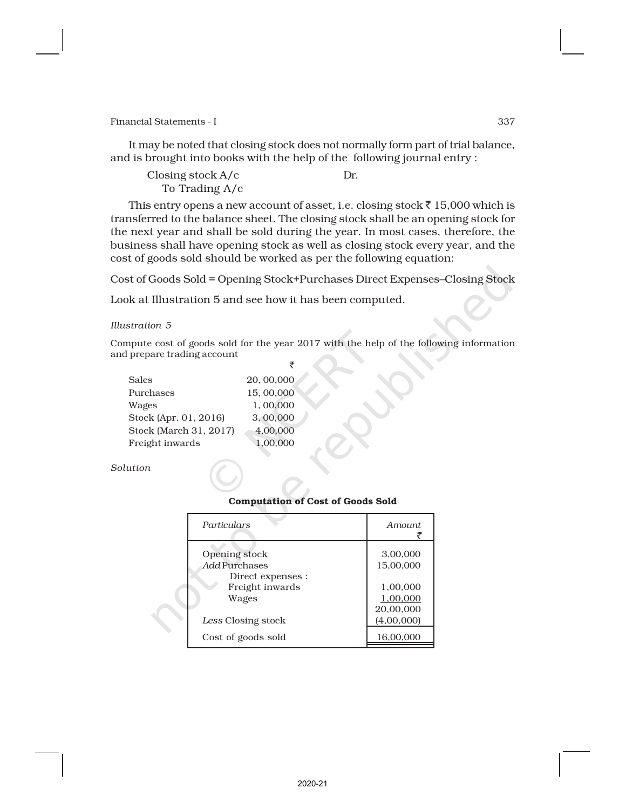It may be noted that closing stock does not normally form part of trial balance, and is brought into books with the help of the following journal entry :

Closing stock  $A/c$  Dr. To Trading A/c

This entry opens a new account of asset, i.e. closing stock  $\bar{\tau}$  15,000 which is transferred to the balance sheet. The closing stock shall be an opening stock for the next year and shall be sold during the year. In most cases, therefore, the business shall have opening stock as well as closing stock every year, and the cost of goods sold should be worked as per the following equation:

Cost of Goods Sold = Opening Stock+Purchases Direct Expenses–Closing Stock

Look at Illustration 5 and see how it has been computed.

#### *Illustration 5*

Compute cost of goods sold for the year 2017 with the help of the following information and prepare trading account

|                        | ₹         |
|------------------------|-----------|
| Sales                  | 20,00,000 |
| Purchases              | 15,00,000 |
| Wages                  | 1,00,000  |
| Stock (Apr. 01, 2016)  | 3,00,000  |
| Stock (March 31, 2017) | 4,00,000  |
| Freight inwards        | 1,00,000  |

*Solution*

| Particulars                           | <i>Amount</i>                       |
|---------------------------------------|-------------------------------------|
| Opening stock<br><b>Add Purchases</b> | 3,00,000<br>15,00,000               |
| Direct expenses :<br>Freight inwards  | 1,00,000                            |
| Wages<br>Less Closing stock           | 1,00,000<br>20,00,000<br>(4,00,000) |
| Cost of goods sold                    | 16,00,000                           |

#### Computation of Cost of Goods Sold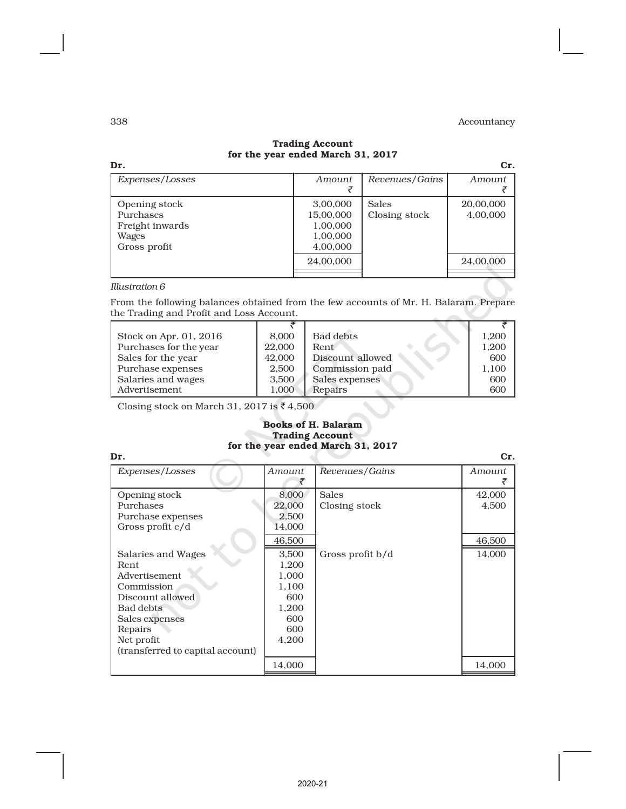### Trading Account for the year ended March 31, 2017

| Dr.                                                                    |                                                           |                               | Cr.                   |
|------------------------------------------------------------------------|-----------------------------------------------------------|-------------------------------|-----------------------|
| Expenses/Losses                                                        | Amount                                                    | Revenues/Gains                | Amount                |
| Opening stock<br>Purchases<br>Freight inwards<br>Wages<br>Gross profit | 3,00,000<br>15,00,000<br>1,00,000<br>1,00,000<br>4,00,000 | <b>Sales</b><br>Closing stock | 20,00,000<br>4,00,000 |
|                                                                        | 24,00,000                                                 |                               | 24,00,000             |
|                                                                        |                                                           |                               |                       |

### *Illustration 6*

From the following balances obtained from the few accounts of Mr. H. Balaram. Prepare the Trading and Profit and Loss Account.

| Stock on Apr. 01, 2016 | 8,000  | Bad debts        | 1,200 |
|------------------------|--------|------------------|-------|
| Purchases for the year | 22,000 | Rent             | 1,200 |
| Sales for the year     | 42,000 | Discount allowed | 600   |
| Purchase expenses      | 2,500  | Commission paid  | 1,100 |
| Salaries and wages     | 3,500  | Sales expenses   | 600   |
| Advertisement          | 1,000  | Repairs          | 600   |

Closing stock on March 31, 2017 is  $\bar{z}$  4,500

#### Books of H. Balaram Trading Account for the year ended March 31, 2017

| Dr.                              |        |                  | Cr.    |
|----------------------------------|--------|------------------|--------|
| Expenses/Losses                  | Amount | Revenues/Gains   | Amount |
|                                  |        |                  |        |
| Opening stock                    | 8,000  | <b>Sales</b>     | 42,000 |
| Purchases                        | 22,000 | Closing stock    | 4,500  |
| Purchase expenses                | 2,500  |                  |        |
| Gross profit c/d                 | 14,000 |                  |        |
|                                  | 46,500 |                  | 46,500 |
| Salaries and Wages               | 3,500  | Gross profit b/d | 14,000 |
| <b>Rent</b>                      | 1,200  |                  |        |
| <b>Advertisement</b>             | 1,000  |                  |        |
| Commission                       | 1,100  |                  |        |
| Discount allowed                 | 600    |                  |        |
| Bad debts                        | 1.200  |                  |        |
| Sales expenses                   | 600    |                  |        |
| Repairs                          | 600    |                  |        |
| Net profit                       | 4,200  |                  |        |
| (transferred to capital account) |        |                  |        |
|                                  | 14,000 |                  | 14.000 |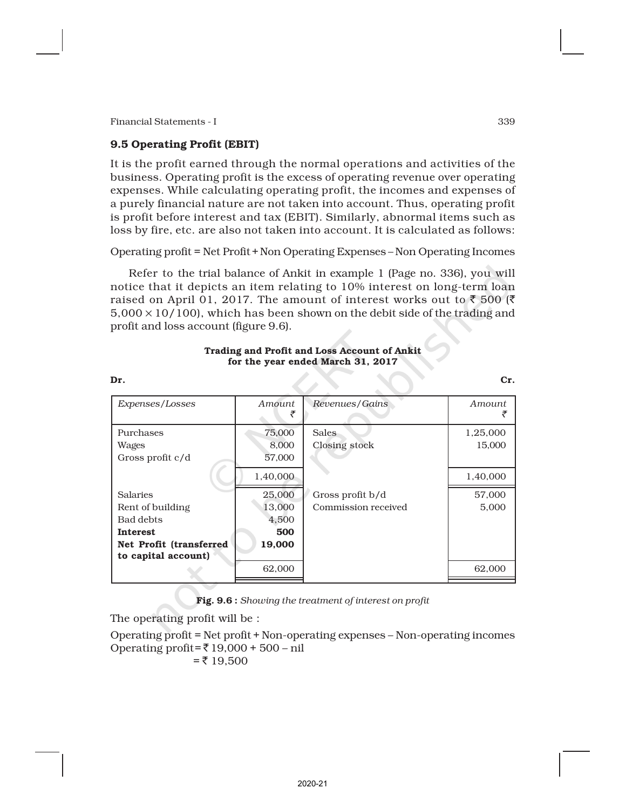# 9.5 Operating Profit (EBIT)

It is the profit earned through the normal operations and activities of the business. Operating profit is the excess of operating revenue over operating expenses. While calculating operating profit, the incomes and expenses of a purely financial nature are not taken into account. Thus, operating profit is profit before interest and tax (EBIT). Similarly, abnormal items such as loss by fire, etc. are also not taken into account. It is calculated as follows:

Operating profit = Net Profit+ Non Operating Expenses – Non Operating Incomes

Refer to the trial balance of Ankit in example 1 (Page no. 336), you will notice that it depicts an item relating to 10% interest on long-term loan raised on April 01, 2017. The amount of interest works out to  $\bar{\xi}$  500 ( $\bar{\xi}$  $5,000 \times 10/100$ , which has been shown on the debit side of the trading and profit and loss account (figure 9.6).

| Expenses/Losses                                                                                                              | Amount                                     | Revenues/Gains                          | Amount             |
|------------------------------------------------------------------------------------------------------------------------------|--------------------------------------------|-----------------------------------------|--------------------|
| Purchases<br>Wages<br>Gross profit c/d                                                                                       | 75,000<br>8.000<br>57,000                  | <b>Sales</b><br>Closing stock           | 1,25,000<br>15,000 |
|                                                                                                                              | 1,40,000                                   |                                         | 1,40,000           |
| <b>Salaries</b><br>Rent of building<br><b>Bad debts</b><br><b>Interest</b><br>Net Profit (transferred<br>to capital account) | 25,000<br>13,000<br>4.500<br>500<br>19,000 | Gross profit b/d<br>Commission received | 57,000<br>5,000    |
|                                                                                                                              | 62,000                                     |                                         | 62,000             |

#### Trading and Profit and Loss Account of Ankit for the year ended March 31, 2017

Dr. Cr.

Fig. 9.6 : *Showing the treatment of interest on profit*

The operating profit will be :

Operating profit = Net profit + Non-operating expenses – Non-operating incomes Operating profit= $\overline{3}$  19,000 + 500 – nil

$$
= ₹19,500
$$

2020-21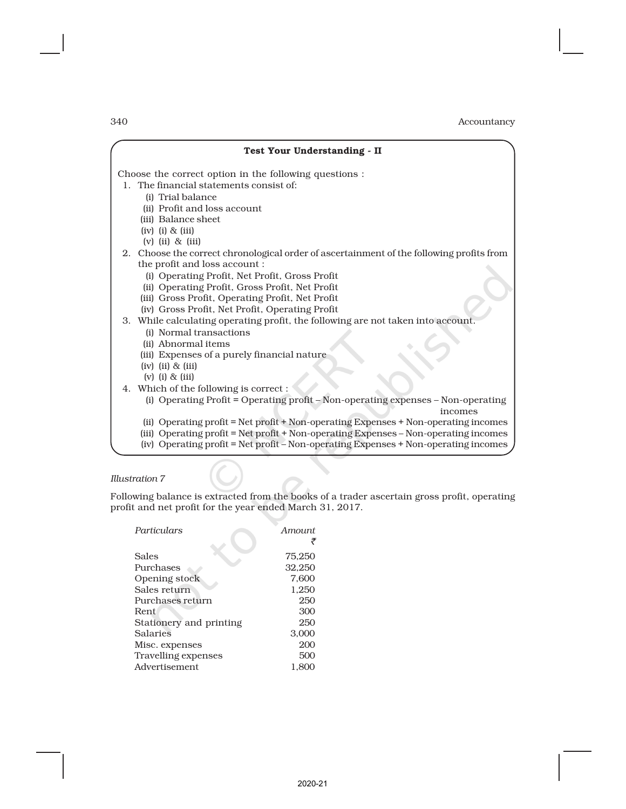| Test Your Understanding - II                                                             |
|------------------------------------------------------------------------------------------|
| Choose the correct option in the following questions :                                   |
| 1. The financial statements consist of:                                                  |
| (i) Trial balance                                                                        |
| (ii) Profit and loss account                                                             |
| (iii) Balance sheet                                                                      |
| $(iv)$ (i) & (iii)                                                                       |
| $(v)$ (ii) & (iii)                                                                       |
| 2. Choose the correct chronological order of ascertainment of the following profits from |
| the profit and loss account:                                                             |
| (i) Operating Profit, Net Profit, Gross Profit                                           |
| (ii) Operating Profit, Gross Profit, Net Profit                                          |
| (iii) Gross Profit, Operating Profit, Net Profit                                         |
| (iv) Gross Profit, Net Profit, Operating Profit                                          |
| 3. While calculating operating profit, the following are not taken into account.         |
| (i) Normal transactions                                                                  |
| (ii) Abnormal items                                                                      |
| (iii) Expenses of a purely financial nature                                              |
| $(iv)$ (ii) $\&$ (iii)                                                                   |
| $(v)$ (i) & (iii)                                                                        |
| 4. Which of the following is correct:                                                    |
| (i) Operating Profit = Operating profit - Non-operating expenses - Non-operating         |
| incomes                                                                                  |
| (ii) Operating profit = Net profit + Non-operating Expenses + Non-operating incomes      |
| (iii) Operating profit = Net profit + Non-operating Expenses - Non-operating incomes     |
| (iv) Operating profit = Net profit – Non-operating Expenses + Non-operating incomes      |
|                                                                                          |

# *Illustration 7*

Following balance is extracted from the books of a trader ascertain gross profit, operating profit and net profit for the year ended March 31, 2017.

| Particulars             | <i>Amount</i> |
|-------------------------|---------------|
|                         | ₹             |
| Sales                   | 75,250        |
| Purchases               | 32,250        |
| Opening stock           | 7.600         |
| Sales return            | 1.250         |
| Purchases return        | 250           |
| Rent                    | 300           |
| Stationery and printing | 250           |
| Salaries                | 3,000         |
| Misc. expenses          | 200           |
| Travelling expenses     | 500           |
| Advertisement           | 1.800         |
|                         |               |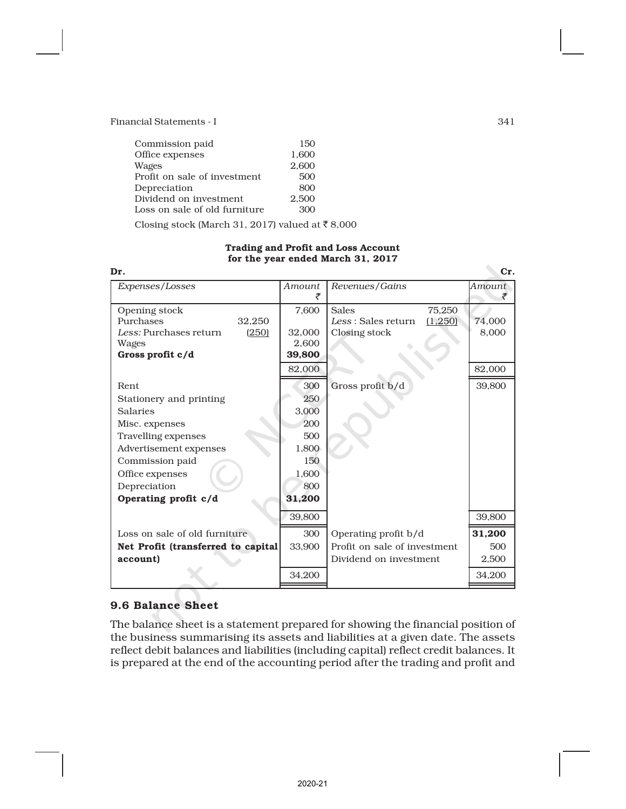| Commission paid               | 150   |
|-------------------------------|-------|
| Office expenses               | 1.600 |
| Wages                         | 2,600 |
| Profit on sale of investment  | 500   |
| Depreciation                  | 800   |
| Dividend on investment        | 2,500 |
| Loss on sale of old furniture | 300   |
|                               |       |

Closing stock (March 31, 2017) valued at  $\bar{z}$  8,000

#### Trading and Profit and Loss Account for the year ended March 31, 2017

| Dr.                                |        |                                | Cr.           |
|------------------------------------|--------|--------------------------------|---------------|
| Expenses/Losses                    | Amount | Revenues/Gains                 | <i>Amount</i> |
|                                    | ₹      |                                |               |
| Opening stock                      | 7,600  | 75,250<br><b>Sales</b>         |               |
| Purchases<br>32,250                |        | Less : Sales return<br>(1,250) | 74.000        |
| Less: Purchases return<br>(250)    | 32.000 | Closing stock                  | 8,000         |
| Wages                              | 2,600  |                                |               |
| Gross profit c/d                   | 39,800 |                                |               |
|                                    | 82,000 |                                | 82,000        |
| <b>Rent</b>                        | 300    | Gross profit b/d               | 39,800        |
| Stationery and printing            | 250    |                                |               |
| <b>Salaries</b>                    | 3.000  |                                |               |
| Misc. expenses                     | 200    |                                |               |
| Travelling expenses                | 500    |                                |               |
| Advertisement expenses             | 1,800  |                                |               |
| Commission paid                    | 150    |                                |               |
| Office expenses                    | 1,600  |                                |               |
| Depreciation                       | 800    |                                |               |
| Operating profit c/d               | 31,200 |                                |               |
|                                    | 39,800 |                                | 39,800        |
| Loss on sale of old furniture      | 300    | Operating profit b/d           | 31,200        |
| Net Profit (transferred to capital | 33,900 | Profit on sale of investment   | 500           |
| account)                           |        | Dividend on investment         | 2,500         |
|                                    | 34,200 |                                | 34,200        |
|                                    |        |                                |               |

# 9.6 Balance Sheet

The balance sheet is a statement prepared for showing the financial position of the business summarising its assets and liabilities at a given date. The assets reflect debit balances and liabilities (including capital) reflect credit balances. It is prepared at the end of the accounting period after the trading and profit and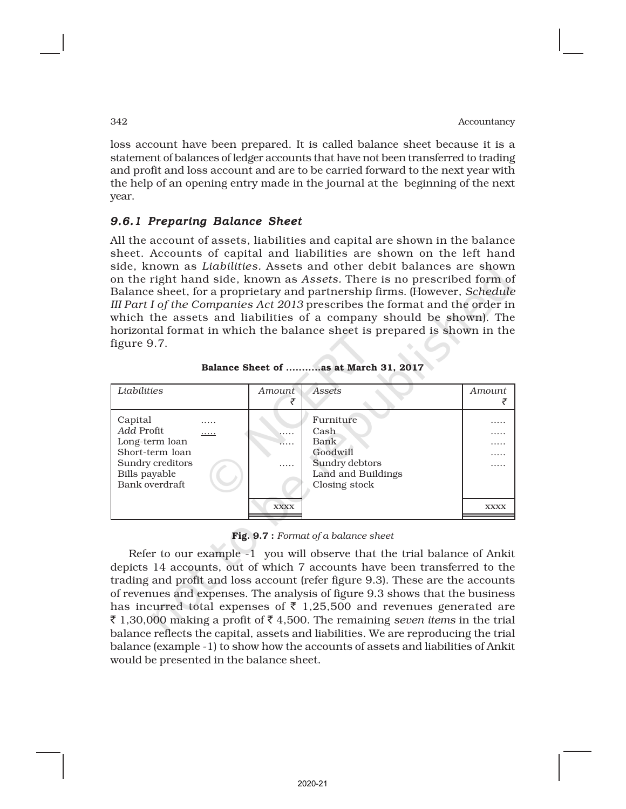loss account have been prepared. It is called balance sheet because it is a statement of balances of ledger accounts that have not been transferred to trading and profit and loss account and are to be carried forward to the next year with the help of an opening entry made in the journal at the beginning of the next year.

# *9.6.1 Preparing Balance Sheet*

All the account of assets, liabilities and capital are shown in the balance sheet. Accounts of capital and liabilities are shown on the left hand side, known as *Liabilities.* Assets and other debit balances are shown on the right hand side, known as *Assets.* There is no prescribed form of Balance sheet, for a proprietary and partnership firms. (However, *Schedule III Part I of the Companies Act 2013* prescribes the format and the order in which the assets and liabilities of a company should be shown). The horizontal format in which the balance sheet is prepared is shown in the figure 9.7.

| Liabilities                                                                                                                | Amount<br>チ                | <b>Assets</b>                                                                                  | Amount                               |
|----------------------------------------------------------------------------------------------------------------------------|----------------------------|------------------------------------------------------------------------------------------------|--------------------------------------|
| Capital<br>.<br>Add Profit<br><br>Long-term loan<br>Short-term loan<br>Sundry creditors<br>Bills payable<br>Bank overdraft | .<br>.<br>.<br><b>XXXX</b> | Furniture<br>Cash<br>Bank<br>Goodwill<br>Sundry debtors<br>Land and Buildings<br>Closing stock | .<br>.<br>.<br>.<br>.<br><b>XXXX</b> |

Balance Sheet of ...........as at March 31, 2017

Fig. 9.7 : *Format of a balance sheet*

Refer to our example -1 you will observe that the trial balance of Ankit depicts 14 accounts, out of which 7 accounts have been transferred to the trading and profit and loss account (refer figure 9.3). These are the accounts of revenues and expenses. The analysis of figure 9.3 shows that the business has incurred total expenses of  $\bar{\tau}$  1,25,500 and revenues generated are  $\bar{\mathcal{F}}$  1,30,000 making a profit of  $\bar{\mathcal{F}}$  4,500. The remaining *seven items* in the trial balance reflects the capital, assets and liabilities. We are reproducing the trial balance (example -1) to show how the accounts of assets and liabilities of Ankit would be presented in the balance sheet.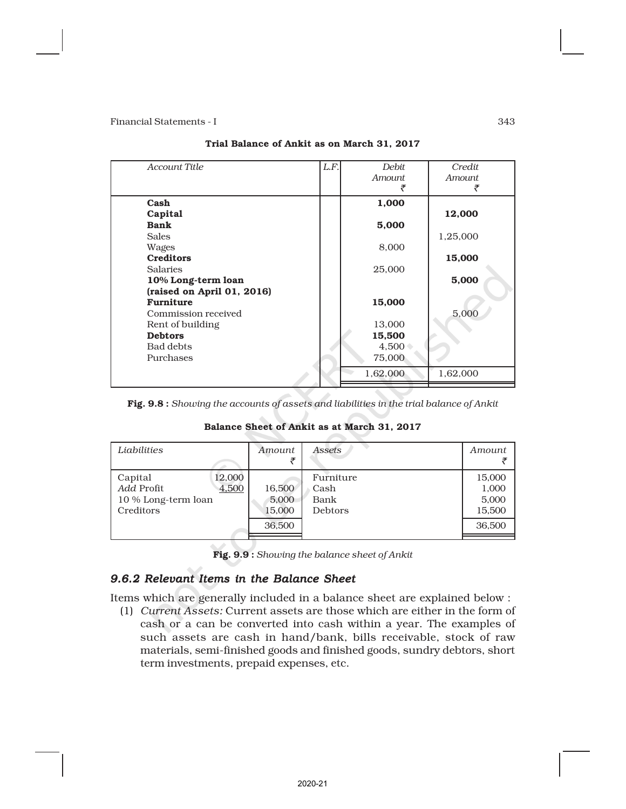| Trial Balance of Ankit as on March 31, 2017 |  |  |  |  |  |  |  |  |  |  |
|---------------------------------------------|--|--|--|--|--|--|--|--|--|--|
|---------------------------------------------|--|--|--|--|--|--|--|--|--|--|

| Account Title              | L.F. | <b>Debit</b> | Credit   |
|----------------------------|------|--------------|----------|
|                            |      | Amount.      | Amount.  |
|                            |      | ₹            | ₹        |
|                            |      |              |          |
| Cash                       |      | 1,000        |          |
| Capital                    |      |              | 12,000   |
| <b>Bank</b>                |      | 5,000        |          |
| <b>Sales</b>               |      |              | 1,25,000 |
| Wages                      |      | 8,000        |          |
| <b>Creditors</b>           |      |              | 15,000   |
| <b>Salaries</b>            |      | 25,000       |          |
| 10% Long-term loan         |      |              | 5,000    |
| (raised on April 01, 2016) |      |              |          |
| <b>Furniture</b>           |      | 15,000       |          |
| Commission received        |      |              | 5,000    |
| Rent of building           |      | 13,000       |          |
| <b>Debtors</b>             |      | 15,500       |          |
|                            |      |              |          |
| Bad debts                  |      | 4,500        |          |
| Purchases                  |      | 75,000       |          |
|                            |      | 1,62,000     | 1,62,000 |
|                            |      |              |          |

Fig. 9.8 : *Showing the accounts of assets and liabilities in the trial balance of Ankit*

Balance Sheet of Ankit as at March 31, 2017

| Liabilities                                               |                 | Amount                    | Assets                               | Amount                                       |
|-----------------------------------------------------------|-----------------|---------------------------|--------------------------------------|----------------------------------------------|
| Capital<br>Add Profit<br>10 % Long-term loan<br>Creditors | 12,000<br>4,500 | 16,500<br>5,000<br>15,000 | Furniture<br>Cash<br>Bank<br>Debtors | 15,000<br>1,000<br>5,000<br>15,500<br>36,500 |
|                                                           |                 | 36,500                    |                                      |                                              |

Fig. 9.9 : *Showing the balance sheet of Ankit*

# *9.6.2 Relevant Items in the Balance Sheet*

Items which are generally included in a balance sheet are explained below :

(1) *Current Assets:* Current assets are those which are either in the form of cash or a can be converted into cash within a year. The examples of such assets are cash in hand/bank, bills receivable, stock of raw materials, semi-finished goods and finished goods, sundry debtors, short term investments, prepaid expenses, etc.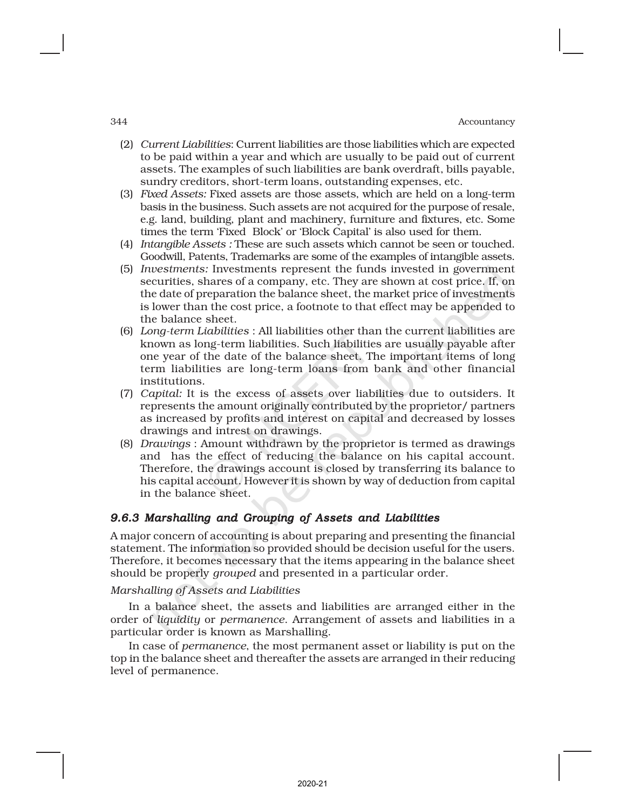- (2) *Current Liabilities*: Current liabilities are those liabilities which are expected to be paid within a year and which are usually to be paid out of current assets. The examples of such liabilities are bank overdraft, bills payable, sundry creditors, short-term loans, outstanding expenses, etc.
- (3) *Fixed Assets:* Fixed assets are those assets, which are held on a long-term basis in the business. Such assets are not acquired for the purpose of resale, e.g. land, building, plant and machinery, furniture and fixtures, etc. Some times the term 'Fixed Block' or 'Block Capital' is also used for them.
- (4) *Intangible Assets :* These are such assets which cannot be seen or touched. Goodwill, Patents, Trademarks are some of the examples of intangible assets.
- (5) *Investments:* Investments represent the funds invested in government securities, shares of a company, etc. They are shown at cost price. If, on the date of preparation the balance sheet, the market price of investments is lower than the cost price, a footnote to that effect may be appended to the balance sheet.
- (6) *Long-term Liabilities* : All liabilities other than the current liabilities are known as long-term liabilities. Such liabilities are usually payable after one year of the date of the balance sheet. The important items of long term liabilities are long-term loans from bank and other financial institutions.
- (7) *Capital:* It is the excess of assets over liabilities due to outsiders. It represents the amount originally contributed by the proprietor/ partners as increased by profits and interest on capital and decreased by losses drawings and intrest on drawings.
- (8) *Drawings* : Amount withdrawn by the proprietor is termed as drawings and has the effect of reducing the balance on his capital account. Therefore, the drawings account is closed by transferring its balance to his capital account. However it is shown by way of deduction from capital in the balance sheet.

### *9.6.3 Marshalling and Grouping of Assets and Liabilities*

A major concern of accounting is about preparing and presenting the financial statement. The information so provided should be decision useful for the users. Therefore, it becomes necessary that the items appearing in the balance sheet should be properly *grouped* and presented in a particular order.

## *Marshalling of Assets and Liabilities*

In a balance sheet, the assets and liabilities are arranged either in the order of *liquidity* or *permanence*. Arrangement of assets and liabilities in a particular order is known as Marshalling.

In case of *permanence*, the most permanent asset or liability is put on the top in the balance sheet and thereafter the assets are arranged in their reducing level of permanence.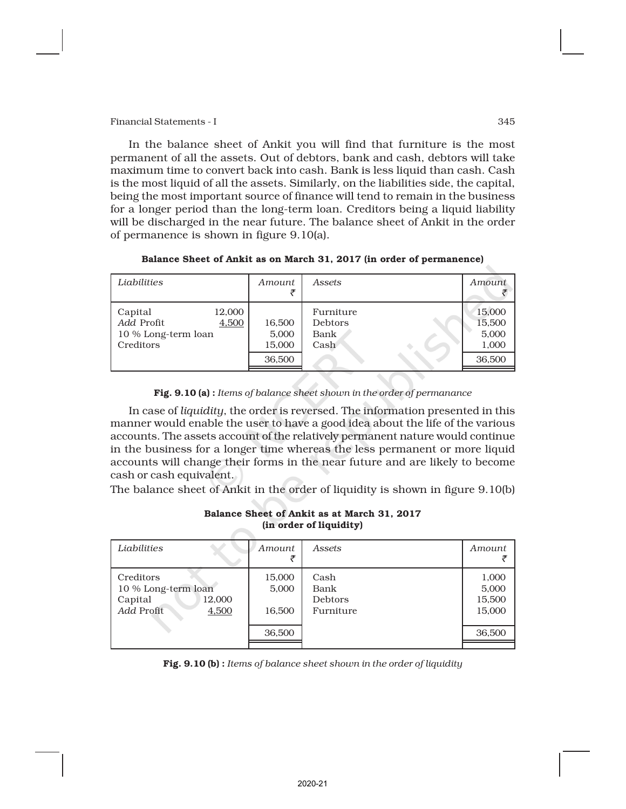In the balance sheet of Ankit you will find that furniture is the most permanent of all the assets. Out of debtors, bank and cash, debtors will take maximum time to convert back into cash. Bank is less liquid than cash. Cash is the most liquid of all the assets. Similarly, on the liabilities side, the capital, being the most important source of finance will tend to remain in the business for a longer period than the long-term loan. Creditors being a liquid liability will be discharged in the near future. The balance sheet of Ankit in the order of permanence is shown in figure 9.10(a).

Balance Sheet of Ankit as on March 31, 2017 (in order of permanence)

| Liabilities                                               |                 | Amount                    | <b>Assets</b>                        | Amount                             |
|-----------------------------------------------------------|-----------------|---------------------------|--------------------------------------|------------------------------------|
| Capital<br>Add Profit<br>10 % Long-term loan<br>Creditors | 12,000<br>4,500 | 16,500<br>5,000<br>15,000 | Furniture<br>Debtors<br>Bank<br>Cash | 15,000<br>15,500<br>5,000<br>1,000 |
|                                                           |                 | 36,500                    |                                      | 36,500                             |

Fig. 9.10 (a) : *Items of balance sheet shown in the order of permanance*

In case of *liquidity*, the order is reversed. The information presented in this manner would enable the user to have a good idea about the life of the various accounts. The assets account of the relatively permanent nature would continue in the business for a longer time whereas the less permanent or more liquid accounts will change their forms in the near future and are likely to become cash or cash equivalent.

The balance sheet of Ankit in the order of liquidity is shown in figure 9.10(b)

| $\frac{1}{1}$       |        |               |        |  |  |
|---------------------|--------|---------------|--------|--|--|
| Liabilities         | Amount | <b>Assets</b> | Amount |  |  |
|                     |        |               |        |  |  |
| Creditors           | 15,000 | Cash          | 1,000  |  |  |
| 10 % Long-term loan | 5,000  | Bank          | 5,000  |  |  |
| 12,000<br>Capital   |        | Debtors       | 15,500 |  |  |
| Add Profit<br>4,500 | 16,500 | Furniture     | 15,000 |  |  |
|                     | 36,500 |               | 36,500 |  |  |
|                     |        |               |        |  |  |

Balance Sheet of Ankit as at March 31, 2017 (in order of liquidity)

Fig. 9.10 (b) : *Items of balance sheet shown in the order of liquidity*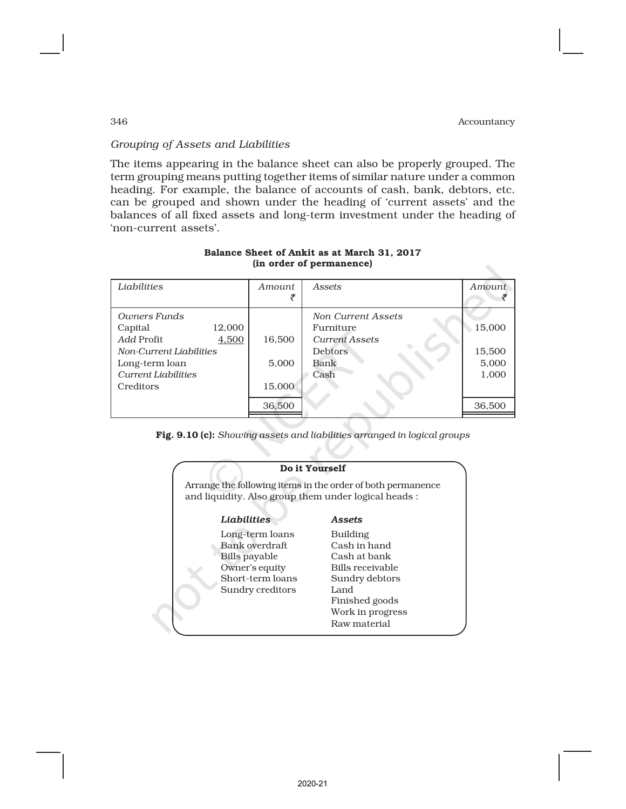# *Grouping of Assets and Liabilities*

The items appearing in the balance sheet can also be properly grouped. The term grouping means putting together items of similar nature under a common heading. For example, the balance of accounts of cash, bank, debtors, etc. can be grouped and shown under the heading of 'current assets' and the balances of all fixed assets and long-term investment under the heading of 'non-current assets'.

| Liabilities                                                             | Amount | <b>Assets</b>                                            | Amount                   |
|-------------------------------------------------------------------------|--------|----------------------------------------------------------|--------------------------|
| Owners Funds<br>12,000<br>Capital<br><b>Add Profit</b><br>4,500         | 16,500 | Non Current Assets<br>Furniture<br><b>Current Assets</b> | 15,000                   |
| Non-Current Liabilities<br>Long-term loan<br><b>Current Liabilities</b> | 5,000  | Debtors<br>Bank<br>Cash                                  | 15,500<br>5,000<br>1,000 |
| Creditors                                                               | 15,000 |                                                          |                          |
|                                                                         | 36,500 |                                                          | 36,500                   |

#### Balance Sheet of Ankit as at March 31, 2017 (in order of permanence)

Fig. 9.10 (c): *Showing assets and liabilities arranged in logical groups*

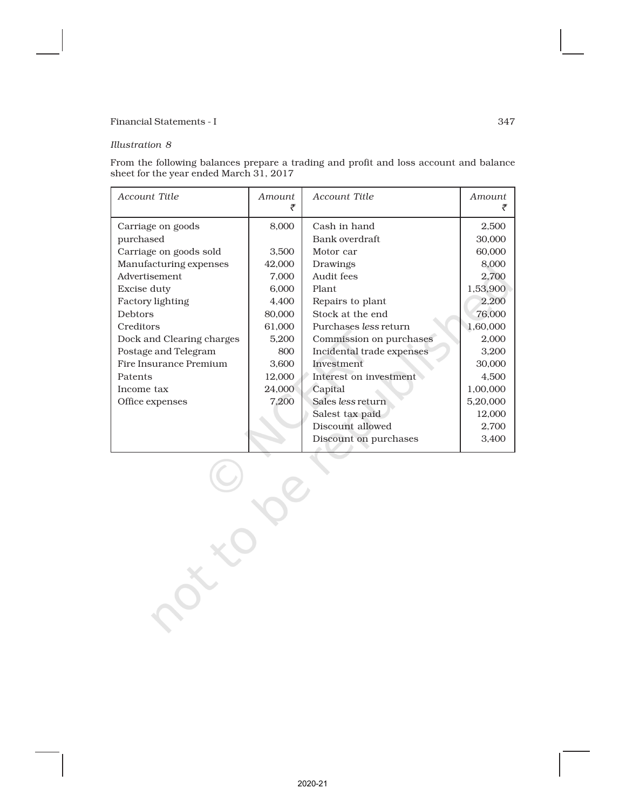#### *Illustration 8*

From the following balances prepare a trading and profit and loss account and balance sheet for the year ended March 31, 2017

| Account Title             | Amount | Account Title             | Amount   |
|---------------------------|--------|---------------------------|----------|
| Carriage on goods         | 8,000  | Cash in hand              | 2,500    |
| purchased                 |        | Bank overdraft            | 30,000   |
| Carriage on goods sold    | 3,500  | Motor car                 | 60,000   |
| Manufacturing expenses    | 42,000 | Drawings                  | 8,000    |
| Advertisement             | 7,000  | Audit fees                | 2,700    |
| Excise duty               | 6,000  | Plant                     | 1,53,900 |
| <b>Factory lighting</b>   | 4,400  | Repairs to plant          | 2,200    |
| <b>Debtors</b>            | 80,000 | Stock at the end          | 76,000   |
| Creditors                 | 61,000 | Purchases less return     | 1,60,000 |
| Dock and Clearing charges | 5,200  | Commission on purchases   | 2,000    |
| Postage and Telegram      | 800    | Incidental trade expenses | 3,200    |
| Fire Insurance Premium    | 3,600  | Investment                | 30,000   |
| Patents                   | 12,000 | Interest on investment    | 4,500    |
| Income tax                | 24,000 | Capital                   | 1,00,000 |
| Office expenses           | 7,200  | Sales less return         | 5,20,000 |
|                           |        | Salest tax paid           | 12,000   |
|                           |        | Discount allowed          | 2,700    |
|                           |        | Discount on purchases     | 3,400    |
|                           |        |                           |          |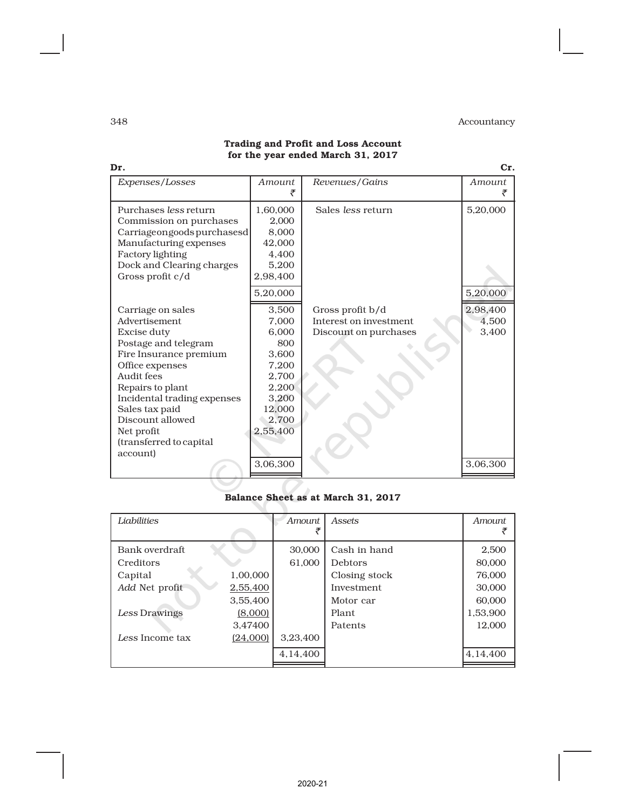| Dr.                                                                                                                                                                                                                                                                                |                                                                                                            |                                                                     | Cr.                        |
|------------------------------------------------------------------------------------------------------------------------------------------------------------------------------------------------------------------------------------------------------------------------------------|------------------------------------------------------------------------------------------------------------|---------------------------------------------------------------------|----------------------------|
| Expenses/Losses                                                                                                                                                                                                                                                                    | <i>Amount</i>                                                                                              | Revenues/Gains                                                      | <i>Amount</i>              |
| Purchases <i>less</i> return<br>Commission on purchases<br>Carriageongoods purchasesd<br>Manufacturing expenses<br><b>Factory lighting</b><br>Dock and Clearing charges<br>Gross profit c/d                                                                                        | 1,60,000<br>2,000<br>8,000<br>42,000<br>4,400<br>5,200<br>2,98,400                                         | Sales <i>less</i> return                                            | 5,20,000                   |
|                                                                                                                                                                                                                                                                                    | 5,20,000                                                                                                   |                                                                     | 5,20,000                   |
| Carriage on sales<br>Advertisement<br>Excise duty<br>Postage and telegram<br>Fire Insurance premium<br>Office expenses<br>Audit fees<br>Repairs to plant<br>Incidental trading expenses<br>Sales tax paid<br>Discount allowed<br>Net profit<br>(transferred to capital<br>account) | 3,500<br>7,000<br>6.000<br>800<br>3,600<br>7,200<br>2,700<br>2,200<br>3,200<br>12,000<br>2,700<br>2,55,400 | Gross profit b/d<br>Interest on investment<br>Discount on purchases | 2,98,400<br>4,500<br>3,400 |
|                                                                                                                                                                                                                                                                                    | 3,06,300                                                                                                   |                                                                     | 3,06,300                   |

#### Trading and Profit and Loss Account for the year ended March 31, 2017

# Balance Sheet as at March 31, 2017

| Liabilities     |          | <i>Amount</i> | <b>Assets</b> | Amount.  |
|-----------------|----------|---------------|---------------|----------|
| Bank overdraft  |          | 30,000        | Cash in hand  | 2.500    |
| Creditors       |          | 61,000        | Debtors       | 80,000   |
| Capital         | 1,00,000 |               | Closing stock | 76,000   |
| Add Net profit  | 2,55,400 |               | Investment    | 30,000   |
|                 | 3,55,400 |               | Motor car     | 60,000   |
| Less Drawings   | (8,000)  |               | Plant         | 1,53,900 |
|                 | 3.47400  |               | Patents       | 12.000   |
| Less Income tax | (24,000) | 3.23.400      |               |          |
|                 |          | 4.14.400      |               | 4.14.400 |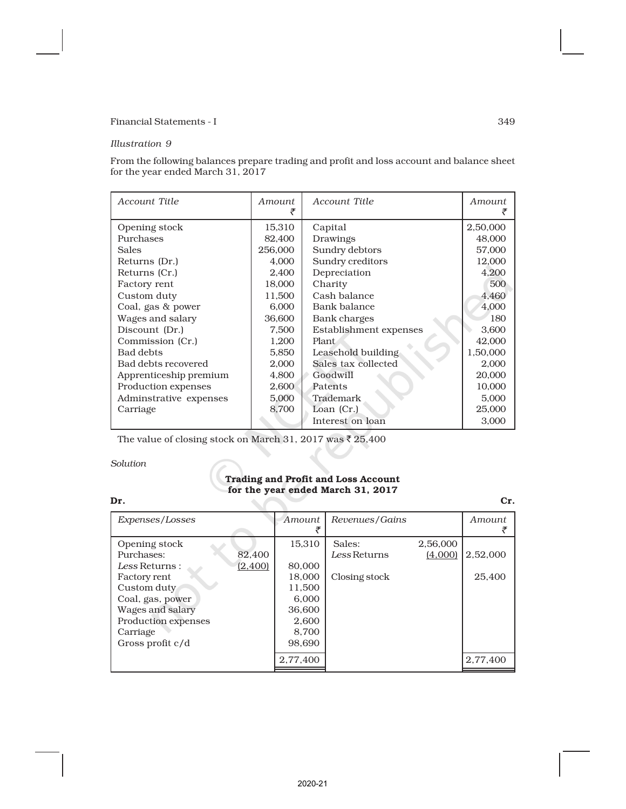### *Illustration 9*

From the following balances prepare trading and profit and loss account and balance sheet for the year ended March 31, 2017

| Account Title          | Amount  | Account Title          | Amount   |
|------------------------|---------|------------------------|----------|
| Opening stock          | 15,310  | Capital                | 2,50,000 |
| Purchases              | 82,400  | Drawings               | 48,000   |
| <b>Sales</b>           | 256,000 | Sundry debtors         | 57,000   |
| Returns (Dr.)          | 4,000   | Sundry creditors       | 12,000   |
| Returns (Cr.)          | 2,400   | Depreciation           | 4,200    |
| Factory rent           | 18,000  | Charity                | 500      |
| Custom duty            | 11,500  | Cash balance           | 4,460    |
| Coal, gas & power      | 6,000   | Bank balance           | 4,000    |
| Wages and salary       | 36,600  | Bank charges           | 180      |
| Discount (Dr.)         | 7,500   | Establishment expenses | 3,600    |
| Commission (Cr.)       | 1,200   | Plant                  | 42,000   |
| <b>Bad debts</b>       | 5,850   | Leasehold building     | 1,50,000 |
| Bad debts recovered    | 2,000   | Sales tax collected    | 2,000    |
| Apprenticeship premium | 4,800   | Goodwill               | 20,000   |
| Production expenses    | 2,600   | Patents                | 10,000   |
| Adminstrative expenses | 5,000   | Trademark              | 5,000    |
| Carriage               | 8,700   | Loan (Cr.)             | 25,000   |
|                        |         | Interest on loan       | 3,000    |

The value of closing stock on March 31, 2017 was  $\overline{\mathfrak{c}}$  25,400

#### *Solution*

## Trading and Profit and Loss Account for the year ended March 31, 2017

Dr. Cr.

| Expenses/Losses           | Amount   | Revenues/Gains |          | Amount   |
|---------------------------|----------|----------------|----------|----------|
| Opening stock             | 15.310   | Sales:         | 2,56,000 |          |
| Purchases:<br>82,400      |          | Less Returns   | (4,000)  | 2,52,000 |
| (2,400)<br>Less Returns : | 80,000   |                |          |          |
| Factory rent              | 18.000   | Closing stock  |          | 25,400   |
| Custom duty               | 11.500   |                |          |          |
| Coal, gas, power          | 6,000    |                |          |          |
| Wages and salary          | 36,600   |                |          |          |
| Production expenses       | 2,600    |                |          |          |
| Carriage                  | 8.700    |                |          |          |
| Gross profit c/d          | 98,690   |                |          |          |
|                           | 2.77.400 |                |          | 2.77.400 |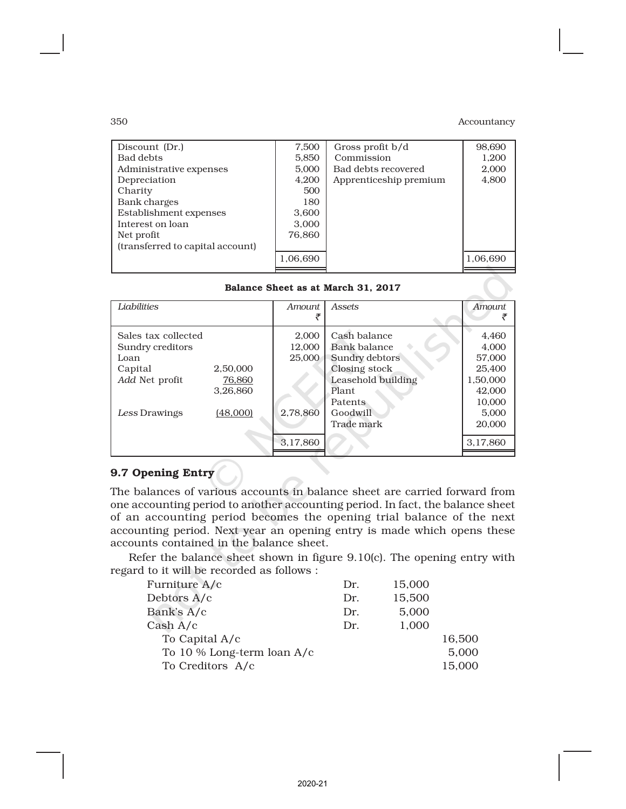| Discount (Dr.)                   | 7,500    | Gross profit b/d       | 98,690   |
|----------------------------------|----------|------------------------|----------|
| Bad debts                        | 5,850    | Commission             | 1,200    |
| Administrative expenses          | 5,000    | Bad debts recovered    | 2,000    |
| Depreciation                     | 4.200    | Apprenticeship premium | 4,800    |
| Charity                          | 500      |                        |          |
| Bank charges                     | 180      |                        |          |
| Establishment expenses           | 3,600    |                        |          |
| Interest on loan                 | 3,000    |                        |          |
| Net profit                       | 76,860   |                        |          |
| (transferred to capital account) |          |                        |          |
|                                  | 1,06,690 |                        | 1,06,690 |
|                                  |          |                        |          |

#### Balance Sheet as at March 31, 2017

| Liabilities          |          | Amount.  | <b>Assets</b>      | Amount.  |
|----------------------|----------|----------|--------------------|----------|
|                      |          |          |                    |          |
| Sales tax collected  |          | 2.000    | Cash balance       | 4.460    |
| Sundry creditors     |          | 12,000   | Bank balance       | 4,000    |
| Loan                 |          | 25,000   | Sundry debtors     | 57,000   |
| Capital              | 2,50,000 |          | Closing stock      | 25,400   |
| Add Net profit       | 76.860   |          | Leasehold building | 1,50,000 |
|                      | 3.26.860 |          | Plant              | 42,000   |
|                      |          |          | Patents            | 10.000   |
| <i>Less</i> Drawings | (48,000) | 2,78,860 | Goodwill           | 5.000    |
|                      |          |          | Trade mark         | 20,000   |
|                      |          | 3,17,860 |                    | 3,17,860 |
|                      |          |          |                    |          |

# 9.7 Opening Entry

The balances of various accounts in balance sheet are carried forward from one accounting period to another accounting period. In fact, the balance sheet of an accounting period becomes the opening trial balance of the next accounting period. Next year an opening entry is made which opens these accounts contained in the balance sheet.

Refer the balance sheet shown in figure 9.10(c). The opening entry with regard to it will be recorded as follows :

| Dr. | 15,000 |        |
|-----|--------|--------|
| Dr. | 15,500 |        |
| Dr. | 5,000  |        |
| Dr. | 1,000  |        |
|     |        | 16,500 |
|     |        | 5,000  |
|     |        | 15,000 |
|     |        |        |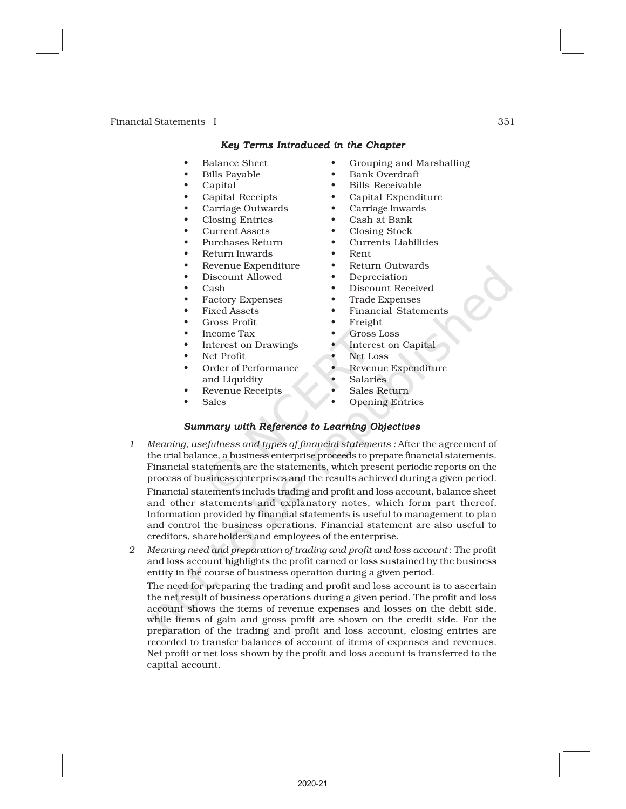### *Key Terms Introduced in the Chapter*

- 
- 
- 
- 
- Carriage Outwards Carriage Inwards
- 
- 
- 
- Return Inwards Rent
- 
- Discount Allowed Depreciation
- 
- **Factory Expenses** Trade Expenses
- 
- 
- 
- 
- 
- Net Profit Net Loss and Liquidity • Salaries
- 
- 
- Balance Sheet Grouping and Marshalling
- Bills Payable Bank Overdraft
- Capital Bills Receivable
- Capital Receipts Capital Expenditure
	-
- Closing Entries Cash at Bank
- Current Assets Closing Stock
- Purchases Return Currents Liabilities
	-
- Revenue Expenditure Return Outwards
	-
- Cash Discount Received
	-
- Fixed Assets Financial Statements
- Gross Profit Freight
- Income Tax Gross Loss
- Interest on Drawings Interest on Capital
	-
	- Revenue Expenditure
	-
- Revenue Receipts Sales Return
- Sales Opening Entries

#### *Summary with Reference to Learning Objectives*

- *1 Meaning, usefulness and types of financial statements :* After the agreement of the trial balance, a business enterprise proceeds to prepare financial statements. Financial statements are the statements, which present periodic reports on the process of business enterprises and the results achieved during a given period. Financial statements includs trading and profit and loss account, balance sheet and other statements and explanatory notes, which form part thereof. Information provided by financial statements is useful to management to plan and control the business operations. Financial statement are also useful to creditors, shareholders and employees of the enterprise.
- *2 Meaning need and preparation of trading and profit and loss account* : The profit and loss account highlights the profit earned or loss sustained by the business entity in the course of business operation during a given period.

The need for preparing the trading and profit and loss account is to ascertain the net result of business operations during a given period. The profit and loss account shows the items of revenue expenses and losses on the debit side, while items of gain and gross profit are shown on the credit side. For the preparation of the trading and profit and loss account, closing entries are recorded to transfer balances of account of items of expenses and revenues. Net profit or net loss shown by the profit and loss account is transferred to the capital account.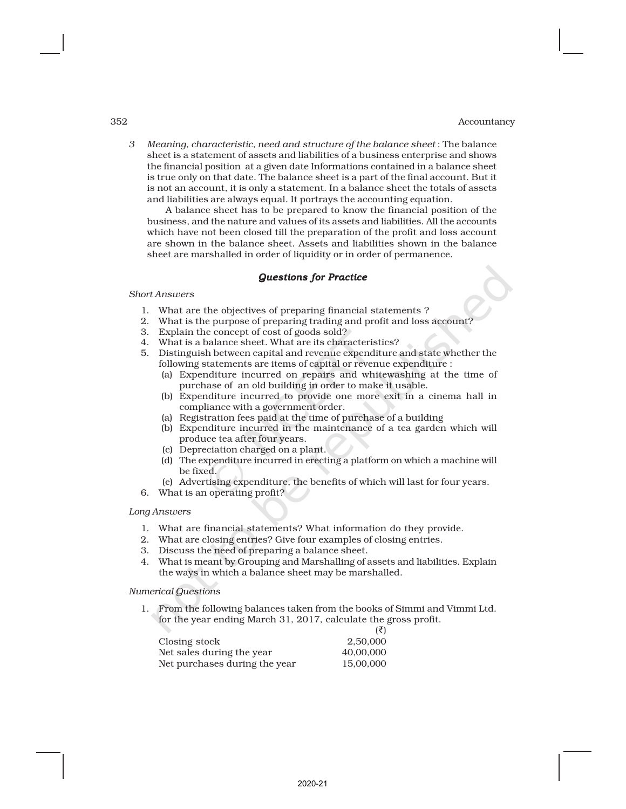*3 Meaning, characteristic, need and structure of the balance sheet* : The balance sheet is a statement of assets and liabilities of a business enterprise and shows the financial position at a given date Informations contained in a balance sheet is true only on that date. The balance sheet is a part of the final account. But it is not an account, it is only a statement. In a balance sheet the totals of assets and liabilities are always equal. It portrays the accounting equation.

A balance sheet has to be prepared to know the financial position of the business, and the nature and values of its assets and liabilities. All the accounts which have not been closed till the preparation of the profit and loss account are shown in the balance sheet. Assets and liabilities shown in the balance sheet are marshalled in order of liquidity or in order of permanence.

#### *Questions for Practice*

#### *Short Answers*

- 1. What are the objectives of preparing financial statements ?
- 2. What is the purpose of preparing trading and profit and loss account?
- 3. Explain the concept of cost of goods sold?
- 4. What is a balance sheet. What are its characteristics?
- 5. Distinguish between capital and revenue expenditure and state whether the following statements are items of capital or revenue expenditure :
	- (a) Expenditure incurred on repairs and whitewashing at the time of purchase of an old building in order to make it usable.
	- (b) Expenditure incurred to provide one more exit in a cinema hall in compliance with a government order.
	- (a) Registration fees paid at the time of purchase of a building
	- (b) Expenditure incurred in the maintenance of a tea garden which will produce tea after four years.
	- (c) Depreciation charged on a plant.
	- (d) The expenditure incurred in erecting a platform on which a machine will be fixed.
	- (e) Advertising expenditure, the benefits of which will last for four years.
- 6. What is an operating profit?

#### *Long Answers*

- 1. What are financial statements? What information do they provide.
- 2. What are closing entries? Give four examples of closing entries.
- 3. Discuss the need of preparing a balance sheet.
- 4. What is meant by Grouping and Marshalling of assets and liabilities. Explain the ways in which a balance sheet may be marshalled.

#### *Numerical Questions*

1. From the following balances taken from the books of Simmi and Vimmi Ltd. for the year ending March 31, 2017, calculate the gross profit.

 $(5)$ 

|                               | $\cdots$  |
|-------------------------------|-----------|
| Closing stock                 | 2.50,000  |
| Net sales during the year     | 40,00,000 |
| Net purchases during the year | 15,00,000 |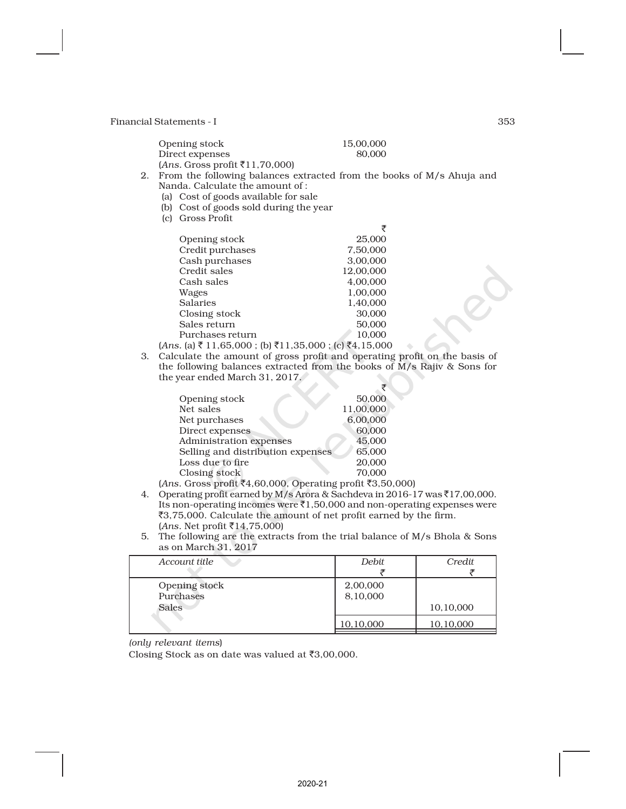| Opening stock                  | 15,00,000 |
|--------------------------------|-----------|
| Direct expenses                | 80,000    |
| (Ans. Gross profit ₹11,70,000) |           |

- 2. From the following balances extracted from the books of M/s Ahuja and Nanda. Calculate the amount of :
	- (a) Cost of goods available for sale
	- (b) Cost of goods sold during the year
	- (c) Gross Profit

| Opening stock                              | 25,000    |
|--------------------------------------------|-----------|
| Credit purchases                           | 7,50,000  |
| Cash purchases                             | 3.00.000  |
| Credit sales                               | 12.00.000 |
| Cash sales                                 | 4.00.000  |
| Wages                                      | 1.00.000  |
| Salaries                                   | 1,40,000  |
| Closing stock                              | 30,000    |
| Sales return                               | 50,000    |
| Purchases return                           | 10,000    |
| $(1.711.07.000.01.711.07.000.01.74.17.000$ |           |

 $(Ans. (a) ₹ 11,65,000; (b) ₹ 11,35,000; (c) ₹ 4,15,000)$ 

3. Calculate the amount of gross profit and operating profit on the basis of the following balances extracted from the books of M/s Rajiv & Sons for the year ended March 31, 2017.

|                                   | ₹         |
|-----------------------------------|-----------|
| Opening stock                     | 50,000    |
| Net sales                         | 11,00,000 |
| Net purchases                     | 6,00,000  |
| Direct expenses                   | 60,000    |
| Administration expenses           | 45,000    |
| Selling and distribution expenses | 65,000    |
| Loss due to fire                  | 20,000    |
| Closing stock                     | 70,000    |
|                                   |           |

(*Ans*. Gross profit `4,60,000, Operating profit `3,50,000)

- 4. Operating profit earned by M/s Arora & Sachdeva in 2016-17 was ₹17,00,000. Its non-operating incomes were  $\bar{x}$ 1,50,000 and non-operating expenses were ₹3,75,000. Calculate the amount of net profit earned by the firm. (*Ans*. Net profit `14,75,000)
- 5. The following are the extracts from the trial balance of M/s Bhola & Sons as on March 31, 2017

| Account title | <b>Debit</b> | Credit    |
|---------------|--------------|-----------|
|               |              |           |
| Opening stock | 2,00,000     |           |
| Purchases     | 8,10,000     |           |
| <b>Sales</b>  |              | 10,10,000 |
|               | 10,10,000    | 10,10,000 |
|               |              |           |

*(only relevant items*)

Closing Stock as on date was valued at  $\bar{x}3,00,000$ .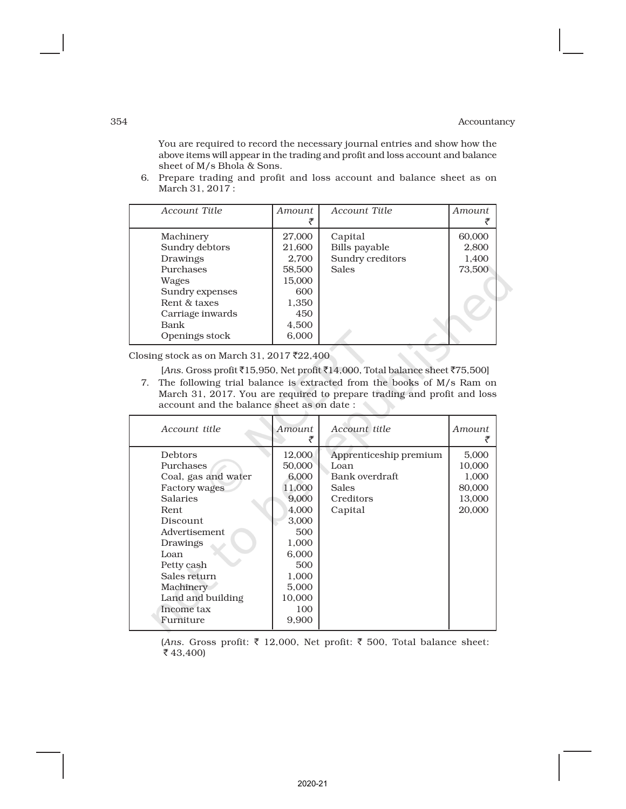You are required to record the necessary journal entries and show how the above items will appear in the trading and profit and loss account and balance sheet of M/s Bhola & Sons.

6. Prepare trading and profit and loss account and balance sheet as on March 31, 2017 :

| Account Title                                                                                                                                  | Amount                                                                                 | Account Title                                                | Amount                             |
|------------------------------------------------------------------------------------------------------------------------------------------------|----------------------------------------------------------------------------------------|--------------------------------------------------------------|------------------------------------|
| Machinery<br>Sundry debtors<br>Drawings<br>Purchases<br>Wages<br>Sundry expenses<br>Rent & taxes<br>Carriage inwards<br>Bank<br>Openings stock | 27,000<br>21,600<br>2,700<br>58,500<br>15,000<br>600<br>1,350<br>450<br>4,500<br>6,000 | Capital<br>Bills payable<br>Sundry creditors<br><b>Sales</b> | 60,000<br>2,800<br>1,400<br>73,500 |

Closing stock as on March 31, 2017  $\bar{z}$ 22,400

[Ans. Gross profit ₹15,950, Net profit ₹14,000, Total balance sheet ₹75,500]

7. The following trial balance is extracted from the books of M/s Ram on March 31, 2017. You are required to prepare trading and profit and loss account and the balance sheet as on date :

| Account title       | Amount | Account title          | <i>Amount</i> |
|---------------------|--------|------------------------|---------------|
|                     |        |                        |               |
| <b>Debtors</b>      | 12,000 | Apprenticeship premium | 5.000         |
| Purchases           | 50,000 | Loan                   | 10,000        |
| Coal, gas and water | 6,000  | Bank overdraft         | 1,000         |
| Factory wages       | 11,000 | <b>Sales</b>           | 80,000        |
| <b>Salaries</b>     | 9,000  | Creditors              | 13,000        |
| Rent                | 4,000  | Capital                | 20,000        |
| Discount.           | 3,000  |                        |               |
| Advertisement       | 500    |                        |               |
| Drawings            | 1,000  |                        |               |
| Loan                | 6,000  |                        |               |
| Petty cash          | 500    |                        |               |
| Sales return        | 1,000  |                        |               |
| Machinery           | 5,000  |                        |               |
| Land and building   | 10,000 |                        |               |
| Income tax          | 100    |                        |               |
| Furniture           | 9,900  |                        |               |
|                     |        |                        |               |

(Ans. Gross profit:  $\bar{\tau}$  12,000, Net profit:  $\bar{\tau}$  500, Total balance sheet: ₹ $43,400$ )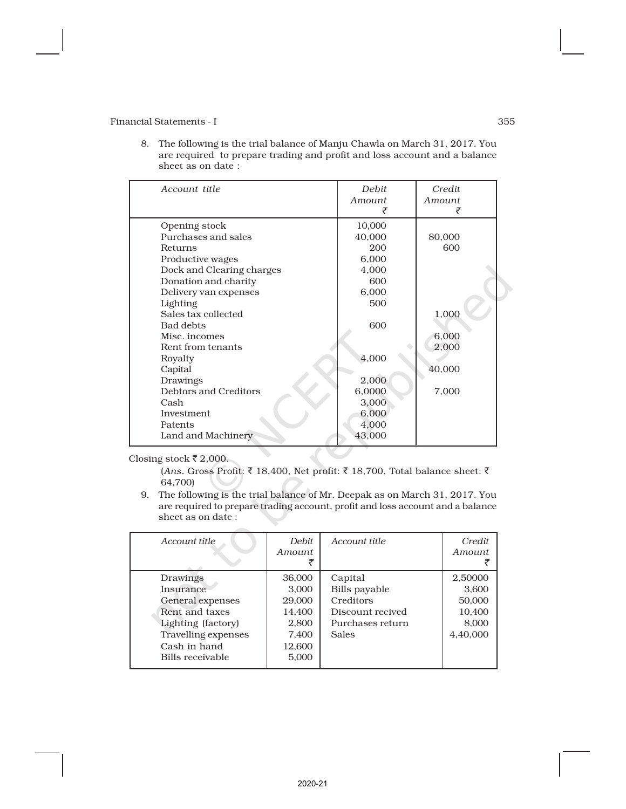| Account title             | Debit         | Credit |
|---------------------------|---------------|--------|
|                           | <i>Amount</i> | Amount |
|                           | ₹             | ₹      |
| Opening stock             | 10,000        |        |
| Purchases and sales       | 40,000        | 80,000 |
| <b>Returns</b>            | 200           | 600    |
| Productive wages          | 6,000         |        |
| Dock and Clearing charges | 4,000         |        |
| Donation and charity      | 600           |        |
| Delivery van expenses     | 6,000         |        |
| Lighting                  | 500           |        |
| Sales tax collected       |               | 1,000  |
| Bad debts                 | 600           |        |
| Misc. incomes             |               | 6,000  |
| Rent from tenants         |               | 2,000  |
| Royalty                   | 4,000         |        |
| Capital                   |               | 40,000 |
| Drawings                  | 2,000         |        |
| Debtors and Creditors     | 6,0000        | 7,000  |
| Cash                      | 3,000         |        |
| Investment                | 6,000         |        |
| Patents                   | 4,000         |        |
| Land and Machinery        | 43,000        |        |
|                           |               |        |

8. The following is the trial balance of Manju Chawla on March 31, 2017. You are required to prepare trading and profit and loss account and a balance sheet as on date :

Closing stock  $\bar{z}$  2,000.

(Ans. Gross Profit:  $\bar{\tau}$  18,400, Net profit:  $\bar{\tau}$  18,700, Total balance sheet:  $\bar{\tau}$ 64,700)

9. The following is the trial balance of Mr. Deepak as on March 31, 2017. You are required to prepare trading account, profit and loss account and a balance sheet as on date :

| Account title                                                                                                                                       | <b>Debit</b><br>Amount                                                   | Account title                                                                          | Credit<br>Amount                                          |
|-----------------------------------------------------------------------------------------------------------------------------------------------------|--------------------------------------------------------------------------|----------------------------------------------------------------------------------------|-----------------------------------------------------------|
| Drawings<br>Insurance<br>General expenses<br>Rent and taxes<br>Lighting (factory)<br><b>Travelling expenses</b><br>Cash in hand<br>Bills receivable | 36,000<br>3,000<br>29,000<br>14,400<br>2,800<br>7,400<br>12,600<br>5,000 | Capital<br>Bills payable<br>Creditors<br>Discount recived<br>Purchases return<br>Sales | 2,50000<br>3,600<br>50,000<br>10,400<br>8,000<br>4,40,000 |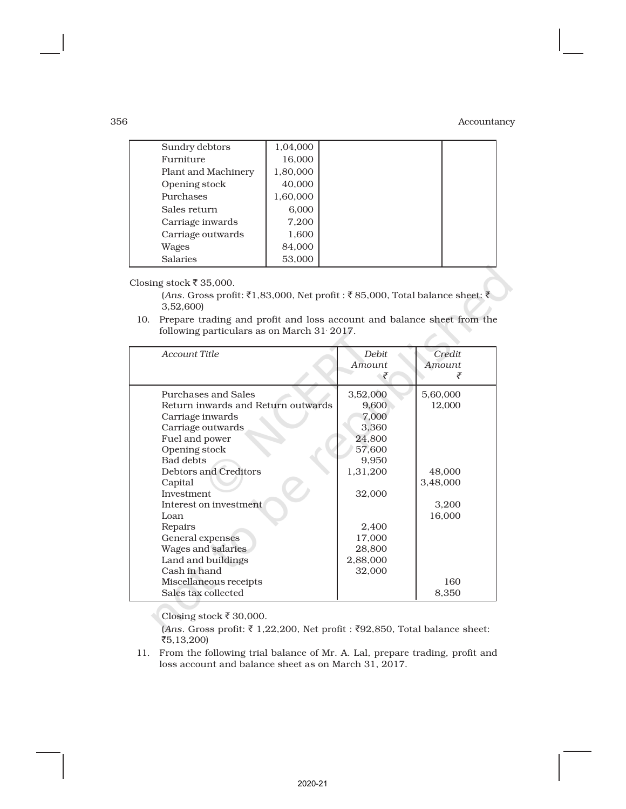| Sundry debtors      | 1,04,000 |  |
|---------------------|----------|--|
| Furniture           | 16,000   |  |
| Plant and Machinery | 1,80,000 |  |
| Opening stock       | 40,000   |  |
| Purchases           | 1,60,000 |  |
| Sales return        | 6,000    |  |
| Carriage inwards    | 7,200    |  |
| Carriage outwards   | 1,600    |  |
| Wages               | 84,000   |  |
| <b>Salaries</b>     | 53,000   |  |

Closing stock  $\bar{z}$  35,000.

(Ans. Gross profit:  $\bar{\mathfrak{e}}$ 1,83,000, Net profit:  $\bar{\mathfrak{e}}$ 85,000, Total balance sheet:  $\bar{\mathfrak{e}}$ 3,52,600)

10. Prepare trading and profit and loss account and balance sheet from the following particulars as on March 31<sup>,</sup> 2017.

| Account Title                      | Debit         | Credit   |
|------------------------------------|---------------|----------|
|                                    | <i>Amount</i> | Amount   |
|                                    |               | ₹        |
| Purchases and Sales                | 3,52,000      | 5,60,000 |
| Return inwards and Return outwards | 9,600         | 12,000   |
| Carriage inwards                   | 7,000         |          |
| Carriage outwards                  | 3,360         |          |
| Fuel and power                     | 24,800        |          |
| Opening stock                      | 57,600        |          |
| Bad debts                          | 9,950         |          |
| <b>Debtors and Creditors</b>       | 1,31,200      | 48,000   |
| Capital                            |               | 3,48,000 |
| Investment                         | 32,000        |          |
| Interest on investment             |               | 3,200    |
| Loan                               |               | 16,000   |
| Repairs                            | 2,400         |          |
| General expenses                   | 17,000        |          |
| Wages and salaries                 | 28,800        |          |
| Land and buildings                 | 2,88,000      |          |
| Cash in hand                       | 32,000        |          |
| Miscellaneous receipts             |               | 160      |
| Sales tax collected                |               | 8,350    |

Closing stock  $\bar{\tau}$  30,000.

(Ans. Gross profit:  $\bar{z}$  1,22,200, Net profit :  $\bar{z}$ 92,850, Total balance sheet:  $\bar{5}$ ,13,200)

11. From the following trial balance of Mr. A. Lal, prepare trading, profit and loss account and balance sheet as on March 31, 2017.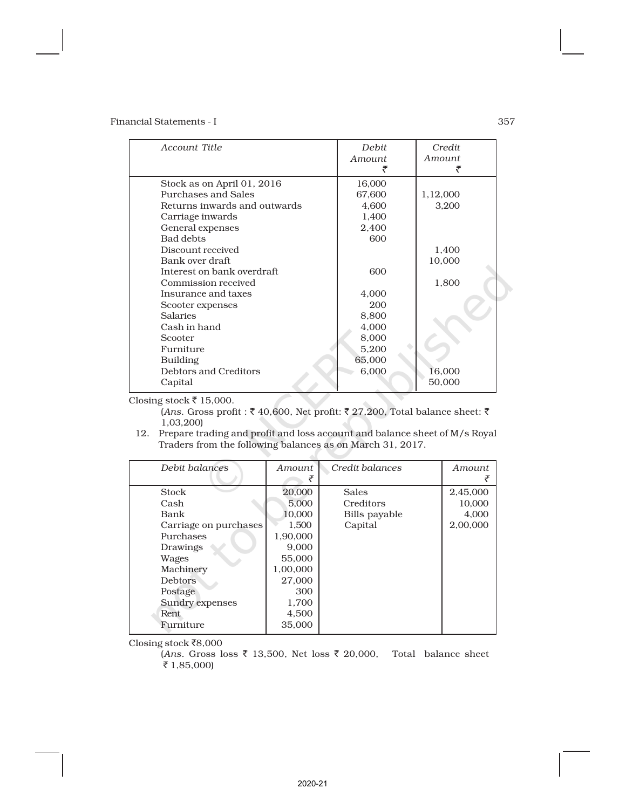| Account Title                | Debit         | Credit        |
|------------------------------|---------------|---------------|
|                              | <i>Amount</i> | <i>Amount</i> |
|                              | ₹             | ₹             |
| Stock as on April 01, 2016   | 16,000        |               |
| Purchases and Sales          | 67,600        | 1,12,000      |
| Returns inwards and outwards | 4,600         | 3,200         |
| Carriage inwards             | 1,400         |               |
| General expenses             | 2,400         |               |
| Bad debts                    | 600           |               |
| Discount received            |               | 1,400         |
| Bank over draft              |               | 10,000        |
| Interest on bank overdraft   | 600           |               |
| Commission received          |               | 1,800         |
| Insurance and taxes          | 4.000         |               |
| Scooter expenses             | 200           |               |
| <b>Salaries</b>              | 8,800         |               |
| Cash in hand                 | 4,000         |               |
| Scooter                      | 8,000         |               |
| Furniture                    | 5,200         |               |
| Building                     | 65,000        |               |
| <b>Debtors and Creditors</b> | 6,000         | 16,000        |
| Capital                      |               | 50,000        |
|                              |               |               |

Closing stock  $\bar{z}$  15,000.

(Ans. Gross profit:  $\bar{\zeta}$  40,600, Net profit:  $\bar{\zeta}$  27,200, Total balance sheet:  $\bar{\zeta}$ 1,03,200)

12. Prepare trading and profit and loss account and balance sheet of M/s Royal Traders from the following balances as on March 31, 2017.

| Debit balances        | Amount   | Credit balances | <i>Amount</i> |
|-----------------------|----------|-----------------|---------------|
|                       |          |                 |               |
| <b>Stock</b>          | 20,000   | <b>Sales</b>    | 2,45,000      |
| Cash                  | 5,000    | Creditors       | 10,000        |
| Bank                  | 10,000   | Bills payable   | 4,000         |
| Carriage on purchases | 1.500    | Capital         | 2,00,000      |
| Purchases             | 1,90,000 |                 |               |
| Drawings              | 9,000    |                 |               |
| Wages                 | 55,000   |                 |               |
| Machinery             | 1,00,000 |                 |               |
| <b>Debtors</b>        | 27,000   |                 |               |
| Postage               | 300      |                 |               |
| Sundry expenses       | 1,700    |                 |               |
| Rent                  | 4,500    |                 |               |
| Furniture             | 35,000   |                 |               |

Closing stock  $\bar{z}8,000$ 

(Ans. Gross loss  $\bar{\tau}$  13,500, Net loss  $\bar{\tau}$  20,000, Total balance sheet ₹ 1,85,000)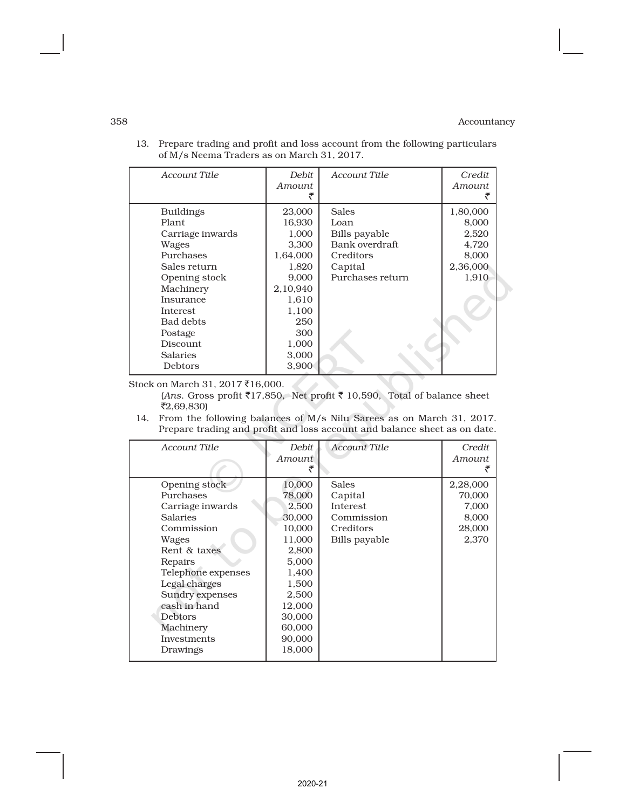| Account Title    | <b>Debit</b> | Account Title    | Credit   |
|------------------|--------------|------------------|----------|
|                  | Amount       |                  | Amount   |
|                  |              |                  |          |
| Buildings        | 23,000       | <b>Sales</b>     | 1,80,000 |
| Plant            | 16,930       | Loan             | 8,000    |
| Carriage inwards | 1.000        | Bills payable    | 2,520    |
| Wages            | 3.300        | Bank overdraft   | 4,720    |
| Purchases        | 1,64,000     | Creditors        | 8,000    |
| Sales return     | 1,820        | Capital          | 2,36,000 |
| Opening stock    | 9,000        | Purchases return | 1,910    |
| Machinery        | 2,10,940     |                  |          |
| Insurance        | 1,610        |                  |          |
| Interest         | 1,100        |                  |          |
| Bad debts        | 250          |                  |          |
| Postage          | 300          |                  |          |
| Discount.        | 1,000        |                  |          |
| <b>Salaries</b>  | 3,000        |                  |          |
| Debtors          | 3,900        |                  |          |
|                  |              |                  |          |

13. Prepare trading and profit and loss account from the following particulars of M/s Neema Traders as on March 31, 2017.

Stock on March 31, 2017  $\bar{z}$ 16,000.

(Ans. Gross profit  $\overline{5}17,850$ , Net profit  $\overline{5}10,590$ , Total of balance sheet `2,69,830)

14. From the following balances of M/s Nilu Sarees as on March 31, 2017. Prepare trading and profit and loss account and balance sheet as on date.

| Account Title      | Debit  | <b>Account Title</b> | Credit   |
|--------------------|--------|----------------------|----------|
|                    | Amount |                      | Amount   |
|                    |        |                      | ₹        |
| Opening stock      | 10,000 | <b>Sales</b>         | 2,28,000 |
| Purchases          | 78,000 | Capital              | 70,000   |
| Carriage inwards   | 2,500  | <b>Interest</b>      | 7,000    |
| <b>Salaries</b>    | 30,000 | Commission           | 8,000    |
| Commission         | 10,000 | Creditors            | 28,000   |
| Wages              | 11,000 | Bills payable        | 2,370    |
| Rent & taxes       | 2,800  |                      |          |
| Repairs            | 5.000  |                      |          |
| Telephone expenses | 1,400  |                      |          |
| Legal charges      | 1,500  |                      |          |
| Sundry expenses    | 2,500  |                      |          |
| cash in hand       | 12,000 |                      |          |
| <b>Debtors</b>     | 30,000 |                      |          |
| Machinery          | 60,000 |                      |          |
| Investments        | 90,000 |                      |          |
| Drawings           | 18,000 |                      |          |
|                    |        |                      |          |